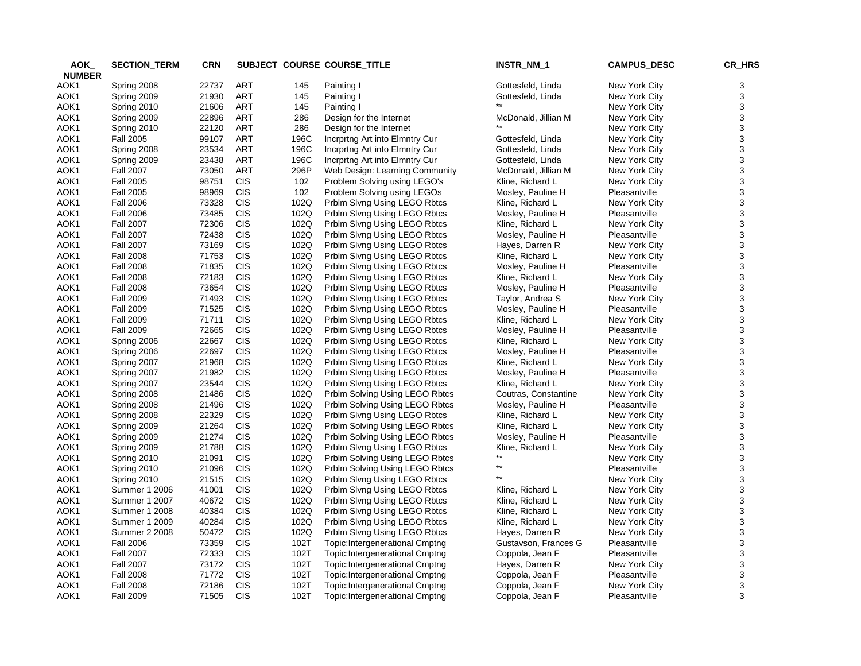| AOK_          | <b>SECTION_TERM</b>  | <b>CRN</b> |            |      | SUBJECT COURSE COURSE_TITLE           | INSTR_NM_1                         | <b>CAMPUS_DESC</b> | CR_HRS |
|---------------|----------------------|------------|------------|------|---------------------------------------|------------------------------------|--------------------|--------|
| <b>NUMBER</b> |                      |            |            |      |                                       |                                    |                    |        |
| AOK1          | Spring 2008          | 22737      | ART        | 145  | Painting I                            | Gottesfeld, Linda                  | New York City      | 3      |
| AOK1          | Spring 2009          | 21930      | <b>ART</b> | 145  | Painting I                            | Gottesfeld, Linda                  | New York City      | 3      |
| AOK1          | Spring 2010          | 21606      | <b>ART</b> | 145  | Painting I                            |                                    | New York City      | 3      |
| AOK1          | Spring 2009          | 22896      | <b>ART</b> | 286  | Design for the Internet               | McDonald, Jillian M                | New York City      | 3      |
| AOK1          | Spring 2010          | 22120      | ART        | 286  | Design for the Internet               |                                    | New York City      | 3      |
| AOK1          | <b>Fall 2005</b>     | 99107      | <b>ART</b> | 196C | Incrprtng Art into Elmntry Cur        | Gottesfeld, Linda                  | New York City      | 3      |
| AOK1          | Spring 2008          | 23534      | ART        | 196C | Incrprtng Art into Elmntry Cur        | Gottesfeld, Linda                  | New York City      | 3      |
| AOK1          | Spring 2009          | 23438      | <b>ART</b> | 196C | Incrprtng Art into Elmntry Cur        | Gottesfeld, Linda                  | New York City      | 3      |
| AOK1          | <b>Fall 2007</b>     | 73050      | <b>ART</b> | 296P | Web Design: Learning Community        | McDonald, Jillian M                | New York City      | 3      |
| AOK1          | <b>Fall 2005</b>     | 98751      | <b>CIS</b> | 102  | Problem Solving using LEGO's          | Kline, Richard L                   | New York City      | 3      |
| AOK1          | <b>Fall 2005</b>     | 98969      | <b>CIS</b> | 102  | Problem Solving using LEGOs           | Mosley, Pauline H                  | Pleasantville      | 3      |
| AOK1          | <b>Fall 2006</b>     | 73328      | CIS        | 102Q | Prblm Slvng Using LEGO Rbtcs          | Kline, Richard L                   | New York City      | 3      |
| AOK1          | <b>Fall 2006</b>     | 73485      | <b>CIS</b> | 102Q | Prblm Slvng Using LEGO Rbtcs          | Mosley, Pauline H                  | Pleasantville      | 3      |
| AOK1          | <b>Fall 2007</b>     | 72306      | <b>CIS</b> | 102Q | Prblm Slvng Using LEGO Rbtcs          | Kline, Richard L                   | New York City      | 3      |
| AOK1          | <b>Fall 2007</b>     | 72438      | <b>CIS</b> | 102Q | Prblm Slvng Using LEGO Rbtcs          | Mosley, Pauline H                  | Pleasantville      | 3      |
| AOK1          | <b>Fall 2007</b>     | 73169      | <b>CIS</b> | 102Q | Prblm Slvng Using LEGO Rbtcs          | Hayes, Darren R                    | New York City      | 3      |
| AOK1          | <b>Fall 2008</b>     | 71753      | <b>CIS</b> | 102Q | Prblm Slvng Using LEGO Rbtcs          | Kline, Richard L                   | New York City      | 3      |
| AOK1          | <b>Fall 2008</b>     | 71835      | <b>CIS</b> | 102Q | Prblm Slvng Using LEGO Rbtcs          | Mosley, Pauline H                  | Pleasantville      | 3      |
| AOK1          | <b>Fall 2008</b>     | 72183      | CIS        | 102Q | Prblm Slvng Using LEGO Rbtcs          | Kline, Richard L                   | New York City      | 3      |
| AOK1          | <b>Fall 2008</b>     | 73654      | CIS        | 102Q | Prblm Slvng Using LEGO Rbtcs          | Mosley, Pauline H                  | Pleasantville      | 3      |
| AOK1          | <b>Fall 2009</b>     | 71493      | CIS        | 102Q | Prblm Slvng Using LEGO Rbtcs          | Taylor, Andrea S                   | New York City      | 3      |
| AOK1          | <b>Fall 2009</b>     | 71525      | CIS        | 102Q | Prblm Slvng Using LEGO Rbtcs          | Mosley, Pauline H                  | Pleasantville      | 3      |
| AOK1          | <b>Fall 2009</b>     | 71711      | <b>CIS</b> | 102Q | Prblm Slvng Using LEGO Rbtcs          | Kline, Richard L                   | New York City      | 3      |
| AOK1          | <b>Fall 2009</b>     | 72665      | CIS        | 102Q | Prblm Slvng Using LEGO Rbtcs          | Mosley, Pauline H                  | Pleasantville      | 3      |
| AOK1          | Spring 2006          | 22667      | <b>CIS</b> | 102Q | Prblm Slvng Using LEGO Rbtcs          | Kline, Richard L                   | New York City      | 3      |
| AOK1          | Spring 2006          | 22697      | <b>CIS</b> | 102Q | Prblm Slvng Using LEGO Rbtcs          | Mosley, Pauline H                  | Pleasantville      | 3      |
| AOK1          | Spring 2007          | 21968      | <b>CIS</b> | 102Q | Prblm Slvng Using LEGO Rbtcs          | Kline, Richard L                   | New York City      | 3      |
| AOK1          | Spring 2007          | 21982      | CIS        | 102Q | Prblm Slvng Using LEGO Rbtcs          | Mosley, Pauline H                  | Pleasantville      | 3      |
| AOK1          | Spring 2007          | 23544      | <b>CIS</b> | 102Q | Prblm Slvng Using LEGO Rbtcs          | Kline, Richard L                   | New York City      | 3      |
| AOK1          | Spring 2008          | 21486      | CIS        | 102Q | Prblm Solving Using LEGO Rbtcs        | Coutras, Constantine               | New York City      | 3      |
| AOK1          | Spring 2008          | 21496      | <b>CIS</b> | 102Q | Prblm Solving Using LEGO Rbtcs        | Mosley, Pauline H                  | Pleasantville      | 3      |
| AOK1          | Spring 2008          | 22329      | CIS        | 102Q | Prblm Slvng Using LEGO Rbtcs          | Kline, Richard L                   | New York City      | 3      |
| AOK1          | Spring 2009          | 21264      | <b>CIS</b> | 102Q | Prblm Solving Using LEGO Rbtcs        | Kline, Richard L                   | New York City      | 3      |
| AOK1          | Spring 2009          | 21274      | <b>CIS</b> | 102Q | Prblm Solving Using LEGO Rbtcs        | Mosley, Pauline H                  | Pleasantville      | 3      |
| AOK1          | Spring 2009          | 21788      | <b>CIS</b> | 102Q | Prblm Slvng Using LEGO Rbtcs          | Kline, Richard L                   | New York City      | 3      |
| AOK1          | Spring 2010          | 21091      | <b>CIS</b> | 102Q | Prblm Solving Using LEGO Rbtcs        |                                    | New York City      | 3      |
| AOK1          | Spring 2010          | 21096      | <b>CIS</b> | 102Q | Prblm Solving Using LEGO Rbtcs        | $\star\star$                       | Pleasantville      | 3      |
| AOK1          | Spring 2010          | 21515      | CIS        | 102Q | Prblm Slvng Using LEGO Rbtcs          | $\star\star$                       | New York City      | 3      |
| AOK1          | Summer 1 2006        | 41001      | CIS        | 102Q | Prblm Slvng Using LEGO Rbtcs          | Kline, Richard L                   | New York City      | 3      |
| AOK1          | Summer 1 2007        | 40672      | CIS        | 102Q | Prblm Slvng Using LEGO Rbtcs          | Kline, Richard L                   | New York City      | 3      |
| AOK1          | Summer 1 2008        | 40384      | <b>CIS</b> | 102Q | Prblm Slvng Using LEGO Rbtcs          | Kline, Richard L                   | New York City      | 3      |
| AOK1          | Summer 1 2009        | 40284      | <b>CIS</b> | 102Q | Prblm Slvng Using LEGO Rbtcs          | Kline, Richard L                   | New York City      | 3      |
| AOK1          | <b>Summer 2 2008</b> | 50472      | <b>CIS</b> | 102Q | Prblm Slvng Using LEGO Rbtcs          | Hayes, Darren R                    | New York City      | 3      |
| AOK1          | <b>Fall 2006</b>     | 73359      | <b>CIS</b> | 102T | Topic: Intergenerational Cmptng       | Gustavson, Frances G               | Pleasantville      | 3      |
| AOK1          | <b>Fall 2007</b>     | 72333      | <b>CIS</b> | 102T | <b>Topic:Intergenerational Cmptng</b> | Coppola, Jean F                    | Pleasantville      | 3      |
| AOK1          | <b>Fall 2007</b>     | 73172      | <b>CIS</b> | 102T | <b>Topic:Intergenerational Cmptng</b> | Hayes, Darren R                    | New York City      | 3      |
| AOK1          | <b>Fall 2008</b>     | 71772      | <b>CIS</b> | 102T | <b>Topic:Intergenerational Cmptng</b> | Coppola, Jean F                    | Pleasantville      | 3      |
| AOK1          | <b>Fall 2008</b>     | 72186      | <b>CIS</b> | 102T | Topic: Intergenerational Cmptng       |                                    | New York City      | 3      |
| AOK1          | <b>Fall 2009</b>     | 71505      | <b>CIS</b> | 102T | <b>Topic:Intergenerational Cmptng</b> | Coppola, Jean F<br>Coppola, Jean F | Pleasantville      | 3      |
|               |                      |            |            |      |                                       |                                    |                    |        |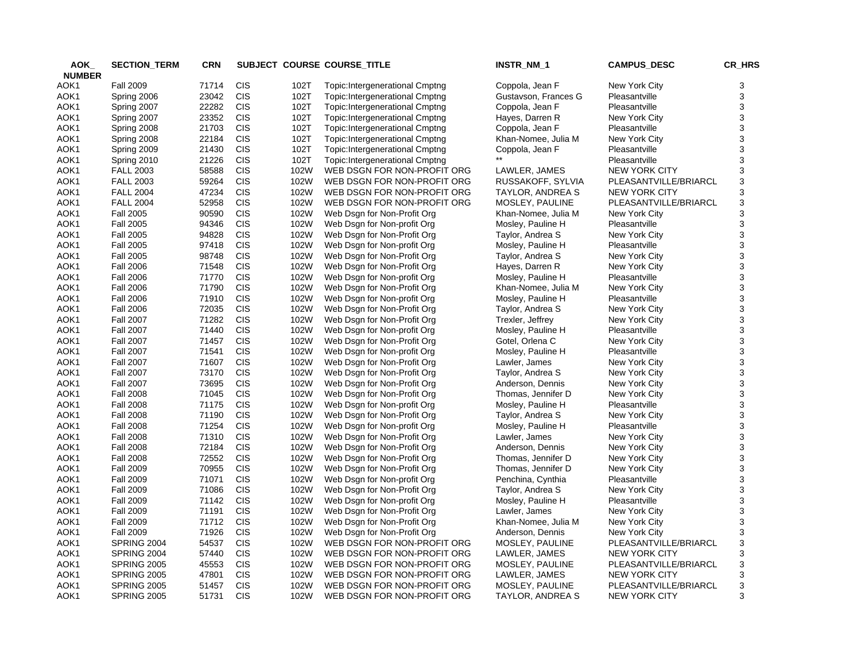| AOK           | <b>SECTION_TERM</b> | <b>CRN</b> |            |      | SUBJECT COURSE COURSE_TITLE           | INSTR_NM_1           | <b>CAMPUS_DESC</b>    | CR_HRS |
|---------------|---------------------|------------|------------|------|---------------------------------------|----------------------|-----------------------|--------|
| <b>NUMBER</b> |                     |            |            |      |                                       |                      |                       |        |
| AOK1          | <b>Fall 2009</b>    | 71714      | <b>CIS</b> | 102T | <b>Topic:Intergenerational Cmptng</b> | Coppola, Jean F      | New York City         | 3      |
| AOK1          | Spring 2006         | 23042      | <b>CIS</b> | 102T | Topic: Intergenerational Cmptng       | Gustavson, Frances G | Pleasantville         | 3      |
| AOK1          | Spring 2007         | 22282      | <b>CIS</b> | 102T | Topic: Intergenerational Cmptng       | Coppola, Jean F      | Pleasantville         | 3      |
| AOK1          | Spring 2007         | 23352      | <b>CIS</b> | 102T | Topic: Intergenerational Cmptng       | Hayes, Darren R      | New York City         | 3      |
| AOK1          | Spring 2008         | 21703      | <b>CIS</b> | 102T | Topic: Intergenerational Cmptng       | Coppola, Jean F      | Pleasantville         | 3      |
| AOK1          | Spring 2008         | 22184      | <b>CIS</b> | 102T | Topic: Intergenerational Cmptng       | Khan-Nomee, Julia M  | New York City         | 3      |
| AOK1          | Spring 2009         | 21430      | <b>CIS</b> | 102T | Topic: Intergenerational Cmptng       | Coppola, Jean F      | Pleasantville         | 3      |
| AOK1          | Spring 2010         | 21226      | <b>CIS</b> | 102T | Topic: Intergenerational Cmptng       |                      | Pleasantville         | 3      |
| AOK1          | <b>FALL 2003</b>    | 58588      | <b>CIS</b> | 102W | WEB DSGN FOR NON-PROFIT ORG           | LAWLER, JAMES        | <b>NEW YORK CITY</b>  | 3      |
| AOK1          | <b>FALL 2003</b>    | 59264      | <b>CIS</b> | 102W | WEB DSGN FOR NON-PROFIT ORG           | RUSSAKOFF, SYLVIA    | PLEASANTVILLE/BRIARCL | 3      |
| AOK1          | <b>FALL 2004</b>    | 47234      | <b>CIS</b> | 102W | WEB DSGN FOR NON-PROFIT ORG           | TAYLOR, ANDREA S     | <b>NEW YORK CITY</b>  | 3      |
| AOK1          | <b>FALL 2004</b>    | 52958      | <b>CIS</b> | 102W | WEB DSGN FOR NON-PROFIT ORG           | MOSLEY, PAULINE      | PLEASANTVILLE/BRIARCL | 3      |
| AOK1          | <b>Fall 2005</b>    | 90590      | <b>CIS</b> | 102W | Web Dsgn for Non-Profit Org           | Khan-Nomee, Julia M  | New York City         | 3      |
| AOK1          | <b>Fall 2005</b>    | 94346      | <b>CIS</b> | 102W | Web Dsgn for Non-profit Org           | Mosley, Pauline H    | Pleasantville         | 3      |
| AOK1          | <b>Fall 2005</b>    | 94828      | <b>CIS</b> | 102W | Web Dsgn for Non-Profit Org           | Taylor, Andrea S     | New York City         | 3      |
| AOK1          | <b>Fall 2005</b>    | 97418      | <b>CIS</b> | 102W | Web Dsgn for Non-profit Org           | Mosley, Pauline H    | Pleasantville         | 3      |
| AOK1          | <b>Fall 2005</b>    | 98748      | <b>CIS</b> | 102W | Web Dsgn for Non-Profit Org           | Taylor, Andrea S     | New York City         | 3      |
| AOK1          | <b>Fall 2006</b>    | 71548      | <b>CIS</b> | 102W | Web Dsgn for Non-Profit Org           | Hayes, Darren R      | New York City         | 3      |
| AOK1          | <b>Fall 2006</b>    | 71770      | <b>CIS</b> | 102W | Web Dsgn for Non-profit Org           | Mosley, Pauline H    | Pleasantville         | 3      |
| AOK1          | <b>Fall 2006</b>    | 71790      | <b>CIS</b> | 102W | Web Dsgn for Non-Profit Org           | Khan-Nomee, Julia M  | New York City         | 3      |
| AOK1          | <b>Fall 2006</b>    | 71910      | <b>CIS</b> | 102W | Web Dsgn for Non-profit Org           | Mosley, Pauline H    | Pleasantville         | 3      |
| AOK1          | <b>Fall 2006</b>    | 72035      | <b>CIS</b> | 102W | Web Dsgn for Non-Profit Org           | Taylor, Andrea S     | New York City         | 3      |
| AOK1          | <b>Fall 2007</b>    | 71282      | <b>CIS</b> | 102W | Web Dsgn for Non-Profit Org           | Trexler, Jeffrey     | New York City         | 3      |
| AOK1          | <b>Fall 2007</b>    | 71440      | <b>CIS</b> | 102W | Web Dsgn for Non-profit Org           | Mosley, Pauline H    | Pleasantville         | 3      |
| AOK1          | <b>Fall 2007</b>    | 71457      | <b>CIS</b> | 102W | Web Dsgn for Non-Profit Org           | Gotel, Orlena C      | New York City         | 3      |
| AOK1          | <b>Fall 2007</b>    | 71541      | <b>CIS</b> | 102W | Web Dsgn for Non-profit Org           | Mosley, Pauline H    | Pleasantville         | 3      |
| AOK1          | <b>Fall 2007</b>    | 71607      | <b>CIS</b> | 102W | Web Dsgn for Non-Profit Org           | Lawler, James        | New York City         | 3      |
| AOK1          | <b>Fall 2007</b>    | 73170      | <b>CIS</b> | 102W | Web Dsgn for Non-Profit Org           | Taylor, Andrea S     | New York City         | 3      |
| AOK1          | <b>Fall 2007</b>    | 73695      | <b>CIS</b> | 102W | Web Dsgn for Non-Profit Org           | Anderson, Dennis     | New York City         | 3      |
| AOK1          | <b>Fall 2008</b>    | 71045      | <b>CIS</b> | 102W | Web Dsgn for Non-Profit Org           | Thomas, Jennifer D   | New York City         | 3      |
| AOK1          | <b>Fall 2008</b>    | 71175      | <b>CIS</b> | 102W | Web Dsgn for Non-profit Org           | Mosley, Pauline H    | Pleasantville         | 3      |
| AOK1          | <b>Fall 2008</b>    | 71190      | <b>CIS</b> | 102W | Web Dsgn for Non-Profit Org           | Taylor, Andrea S     | New York City         | 3      |
| AOK1          | <b>Fall 2008</b>    | 71254      | <b>CIS</b> | 102W | Web Dsgn for Non-profit Org           | Mosley, Pauline H    | Pleasantville         | 3      |
| AOK1          | <b>Fall 2008</b>    | 71310      | <b>CIS</b> | 102W | Web Dsgn for Non-Profit Org           | Lawler, James        | New York City         | 3      |
| AOK1          | <b>Fall 2008</b>    | 72184      | <b>CIS</b> | 102W | Web Dsgn for Non-Profit Org           | Anderson, Dennis     | New York City         | 3      |
| AOK1          | <b>Fall 2008</b>    | 72552      | <b>CIS</b> | 102W | Web Dsgn for Non-Profit Org           | Thomas, Jennifer D   | New York City         | 3      |
| AOK1          | <b>Fall 2009</b>    | 70955      | <b>CIS</b> | 102W | Web Dsgn for Non-Profit Org           | Thomas, Jennifer D   | New York City         | 3      |
| AOK1          | <b>Fall 2009</b>    | 71071      | <b>CIS</b> | 102W | Web Dsgn for Non-profit Org           | Penchina, Cynthia    | Pleasantville         | 3      |
| AOK1          | <b>Fall 2009</b>    | 71086      | <b>CIS</b> | 102W | Web Dsgn for Non-Profit Org           | Taylor, Andrea S     | New York City         | 3      |
| AOK1          | <b>Fall 2009</b>    | 71142      | <b>CIS</b> | 102W | Web Dsgn for Non-profit Org           | Mosley, Pauline H    | Pleasantville         | 3      |
|               | <b>Fall 2009</b>    | 71191      | <b>CIS</b> | 102W |                                       |                      | New York City         | 3      |
| AOK1<br>AOK1  | <b>Fall 2009</b>    | 71712      | <b>CIS</b> | 102W | Web Dsgn for Non-Profit Org           | Lawler, James        | New York City         | 3      |
|               |                     |            | <b>CIS</b> | 102W | Web Dsgn for Non-Profit Org           | Khan-Nomee, Julia M  |                       | 3      |
| AOK1          | <b>Fall 2009</b>    | 71926      | <b>CIS</b> |      | Web Dsgn for Non-Profit Org           | Anderson, Dennis     | New York City         | 3      |
| AOK1          | SPRING 2004         | 54537      |            | 102W | WEB DSGN FOR NON-PROFIT ORG           | MOSLEY, PAULINE      | PLEASANTVILLE/BRIARCL |        |
| AOK1          | SPRING 2004         | 57440      | <b>CIS</b> | 102W | WEB DSGN FOR NON-PROFIT ORG           | LAWLER, JAMES        | <b>NEW YORK CITY</b>  | 3      |
| AOK1          | <b>SPRING 2005</b>  | 45553      | <b>CIS</b> | 102W | WEB DSGN FOR NON-PROFIT ORG           | MOSLEY, PAULINE      | PLEASANTVILLE/BRIARCL | 3      |
| AOK1          | <b>SPRING 2005</b>  | 47801      | <b>CIS</b> | 102W | WEB DSGN FOR NON-PROFIT ORG           | LAWLER, JAMES        | <b>NEW YORK CITY</b>  | 3      |
| AOK1          | <b>SPRING 2005</b>  | 51457      | <b>CIS</b> | 102W | WEB DSGN FOR NON-PROFIT ORG           | MOSLEY, PAULINE      | PLEASANTVILLE/BRIARCL | 3      |
| AOK1          | SPRING 2005         | 51731      | <b>CIS</b> | 102W | WEB DSGN FOR NON-PROFIT ORG           | TAYLOR, ANDREA S     | <b>NEW YORK CITY</b>  | 3      |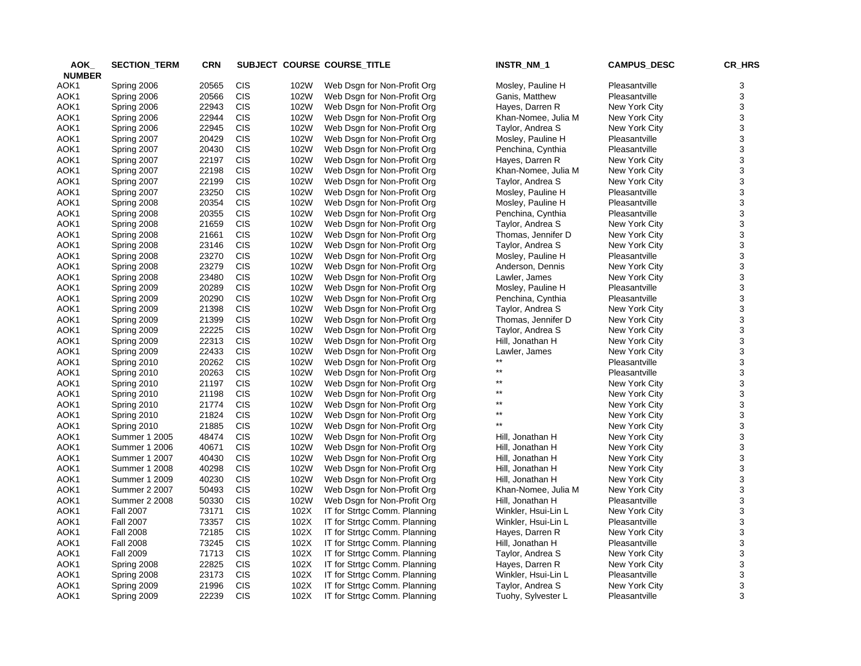| AOK_          | <b>SECTION_TERM</b>  | <b>CRN</b> |            |      | SUBJECT COURSE COURSE_TITLE                                  | INSTR_NM_1          | <b>CAMPUS_DESC</b> | CR_HRS |
|---------------|----------------------|------------|------------|------|--------------------------------------------------------------|---------------------|--------------------|--------|
| <b>NUMBER</b> |                      |            |            |      |                                                              |                     |                    |        |
| AOK1          | Spring 2006          | 20565      | <b>CIS</b> | 102W | Web Dsgn for Non-Profit Org                                  | Mosley, Pauline H   | Pleasantville      | 3      |
| AOK1          | Spring 2006          | 20566      | <b>CIS</b> | 102W | Web Dsgn for Non-Profit Org                                  | Ganis, Matthew      | Pleasantville      | 3      |
| AOK1          | Spring 2006          | 22943      | <b>CIS</b> | 102W | Web Dsgn for Non-Profit Org                                  | Hayes, Darren R     | New York City      | 3      |
| AOK1          | Spring 2006          | 22944      | <b>CIS</b> | 102W | Web Dsgn for Non-Profit Org                                  | Khan-Nomee, Julia M | New York City      | 3      |
| AOK1          | Spring 2006          | 22945      | <b>CIS</b> | 102W | Web Dsgn for Non-Profit Org                                  | Taylor, Andrea S    | New York City      | 3      |
| AOK1          | Spring 2007          | 20429      | CIS        | 102W | Web Dsgn for Non-Profit Org                                  | Mosley, Pauline H   | Pleasantville      | 3      |
| AOK1          | Spring 2007          | 20430      | CIS        | 102W | Web Dsgn for Non-Profit Org                                  | Penchina, Cynthia   | Pleasantville      | 3      |
| AOK1          | Spring 2007          | 22197      | CIS        | 102W | Web Dsgn for Non-Profit Org                                  | Hayes, Darren R     | New York City      | 3      |
| AOK1          | Spring 2007          | 22198      | <b>CIS</b> | 102W | Web Dsgn for Non-Profit Org                                  | Khan-Nomee, Julia M | New York City      | 3      |
| AOK1          | Spring 2007          | 22199      | <b>CIS</b> | 102W | Web Dsgn for Non-Profit Org                                  | Taylor, Andrea S    | New York City      | 3      |
| AOK1          | Spring 2007          | 23250      | <b>CIS</b> | 102W | Web Dsgn for Non-Profit Org                                  | Mosley, Pauline H   | Pleasantville      | 3      |
| AOK1          | Spring 2008          | 20354      | <b>CIS</b> | 102W | Web Dsgn for Non-Profit Org                                  | Mosley, Pauline H   | Pleasantville      | 3      |
| AOK1          | Spring 2008          | 20355      | <b>CIS</b> | 102W | Web Dsgn for Non-Profit Org                                  | Penchina, Cynthia   | Pleasantville      | 3      |
| AOK1          | Spring 2008          | 21659      | CIS        | 102W | Web Dsgn for Non-Profit Org                                  | Taylor, Andrea S    | New York City      | 3      |
| AOK1          | Spring 2008          | 21661      | <b>CIS</b> | 102W | Web Dsgn for Non-Profit Org                                  | Thomas, Jennifer D  | New York City      | 3      |
| AOK1          | Spring 2008          | 23146      | CIS        | 102W | Web Dsgn for Non-Profit Org                                  | Taylor, Andrea S    | New York City      | 3      |
| AOK1          | Spring 2008          | 23270      | CIS        | 102W | Web Dsgn for Non-Profit Org                                  | Mosley, Pauline H   | Pleasantville      | 3      |
| AOK1          | Spring 2008          | 23279      | <b>CIS</b> | 102W | Web Dsgn for Non-Profit Org                                  | Anderson, Dennis    | New York City      | 3      |
| AOK1          | Spring 2008          | 23480      | <b>CIS</b> | 102W | Web Dsgn for Non-Profit Org                                  | Lawler, James       | New York City      | 3      |
| AOK1          | Spring 2009          | 20289      | <b>CIS</b> | 102W | Web Dsgn for Non-Profit Org                                  | Mosley, Pauline H   | Pleasantville      | 3      |
| AOK1          | Spring 2009          | 20290      | CIS        | 102W | Web Dsgn for Non-Profit Org                                  | Penchina, Cynthia   | Pleasantville      | 3      |
| AOK1          | Spring 2009          | 21398      | <b>CIS</b> | 102W | Web Dsgn for Non-Profit Org                                  | Taylor, Andrea S    | New York City      | 3      |
| AOK1          | Spring 2009          | 21399      | CIS        | 102W | Web Dsgn for Non-Profit Org                                  | Thomas, Jennifer D  | New York City      | 3      |
| AOK1          | Spring 2009          | 22225      | <b>CIS</b> | 102W | Web Dsgn for Non-Profit Org                                  | Taylor, Andrea S    | New York City      | 3      |
| AOK1          | Spring 2009          | 22313      | CIS        | 102W | Web Dsgn for Non-Profit Org                                  | Hill, Jonathan H    | New York City      | 3      |
| AOK1          | Spring 2009          | 22433      | <b>CIS</b> | 102W | Web Dsgn for Non-Profit Org                                  | Lawler, James       | New York City      | 3      |
| AOK1          | Spring 2010          | 20262      | <b>CIS</b> | 102W | Web Dsgn for Non-Profit Org                                  | $***$               | Pleasantville      | 3      |
| AOK1          | Spring 2010          | 20263      | <b>CIS</b> | 102W | Web Dsgn for Non-Profit Org                                  | $^{\star\star}$     | Pleasantville      | 3      |
| AOK1          | Spring 2010          | 21197      | <b>CIS</b> | 102W | Web Dsgn for Non-Profit Org                                  | $***$               | New York City      | 3      |
| AOK1          | Spring 2010          | 21198      | <b>CIS</b> | 102W | Web Dsgn for Non-Profit Org                                  | **                  | New York City      | 3      |
| AOK1          | Spring 2010          | 21774      | CIS        | 102W | Web Dsgn for Non-Profit Org                                  | **                  | New York City      | 3      |
| AOK1          | Spring 2010          | 21824      | <b>CIS</b> | 102W | Web Dsgn for Non-Profit Org                                  | **                  | New York City      | 3      |
| AOK1          | Spring 2010          | 21885      | <b>CIS</b> | 102W | Web Dsgn for Non-Profit Org                                  | $***$               | New York City      | 3      |
| AOK1          | Summer 1 2005        | 48474      | CIS        | 102W | Web Dsgn for Non-Profit Org                                  | Hill, Jonathan H    | New York City      | 3      |
| AOK1          | Summer 1 2006        | 40671      | <b>CIS</b> | 102W | Web Dsgn for Non-Profit Org                                  | Hill, Jonathan H    | New York City      | 3      |
| AOK1          | Summer 1 2007        | 40430      | <b>CIS</b> | 102W | Web Dsgn for Non-Profit Org                                  | Hill, Jonathan H    | New York City      | 3      |
| AOK1          | Summer 1 2008        | 40298      | <b>CIS</b> | 102W | Web Dsgn for Non-Profit Org                                  | Hill, Jonathan H    | New York City      | 3      |
| AOK1          | Summer 1 2009        | 40230      | CIS        | 102W | Web Dsgn for Non-Profit Org                                  | Hill, Jonathan H    | New York City      | 3      |
| AOK1          | <b>Summer 2 2007</b> | 50493      | <b>CIS</b> | 102W | Web Dsgn for Non-Profit Org                                  | Khan-Nomee, Julia M | New York City      | 3      |
| AOK1          | <b>Summer 2 2008</b> | 50330      | CIS        | 102W | Web Dsgn for Non-Profit Org                                  | Hill, Jonathan H    | Pleasantville      | 3      |
| AOK1          | <b>Fall 2007</b>     | 73171      | CIS        | 102X | IT for Strtgc Comm. Planning                                 | Winkler, Hsui-Lin L | New York City      | 3      |
| AOK1          | <b>Fall 2007</b>     | 73357      | CIS        | 102X | IT for Strtgc Comm. Planning                                 | Winkler, Hsui-Lin L | Pleasantville      | 3      |
| AOK1          | <b>Fall 2008</b>     | 72185      | <b>CIS</b> | 102X | IT for Strtgc Comm. Planning                                 | Hayes, Darren R     | New York City      | 3      |
| AOK1          | <b>Fall 2008</b>     | 73245      | <b>CIS</b> | 102X |                                                              | Hill, Jonathan H    | Pleasantville      | 3      |
| AOK1          | <b>Fall 2009</b>     | 71713      | <b>CIS</b> | 102X | IT for Strtgc Comm. Planning<br>IT for Strtgc Comm. Planning | Taylor, Andrea S    | New York City      | 3      |
| AOK1          |                      | 22825      | <b>CIS</b> | 102X |                                                              |                     | New York City      | 3      |
|               | Spring 2008          | 23173      | <b>CIS</b> |      | IT for Strtgc Comm. Planning                                 | Hayes, Darren R     | Pleasantville      | 3      |
| AOK1          | Spring 2008          |            | <b>CIS</b> | 102X | IT for Strtgc Comm. Planning                                 | Winkler, Hsui-Lin L |                    |        |
| AOK1          | Spring 2009          | 21996      |            | 102X | IT for Strtgc Comm. Planning                                 | Taylor, Andrea S    | New York City      | 3      |
| AOK1          | Spring 2009          | 22239      | <b>CIS</b> | 102X | IT for Strtgc Comm. Planning                                 | Tuohy, Sylvester L  | Pleasantville      | 3      |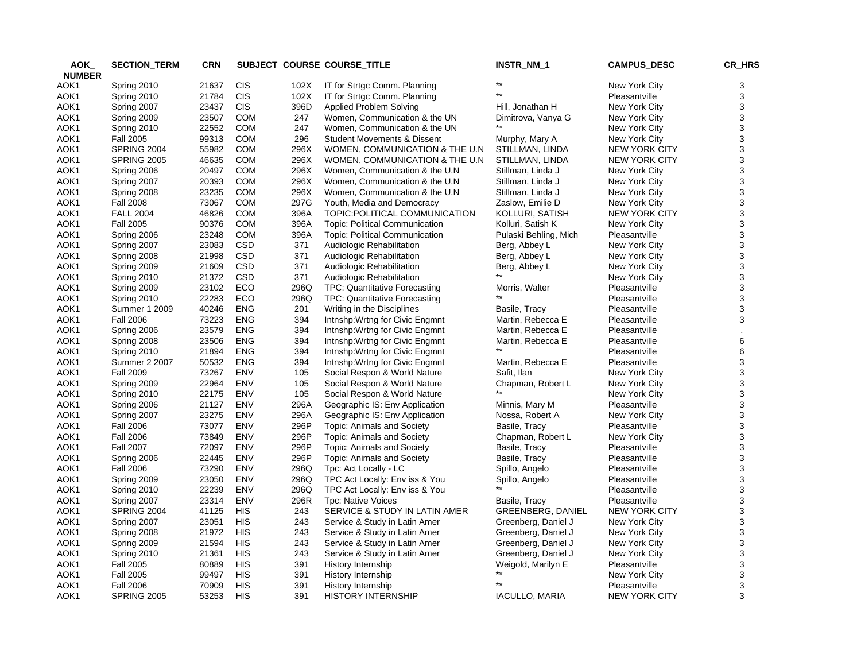| AOK           | <b>SECTION_TERM</b>  | <b>CRN</b> |            |      | SUBJECT COURSE COURSE_TITLE                            | INSTR_NM_1               | <b>CAMPUS_DESC</b>   | CR_HRS |
|---------------|----------------------|------------|------------|------|--------------------------------------------------------|--------------------------|----------------------|--------|
| <b>NUMBER</b> |                      |            |            |      |                                                        |                          |                      |        |
| AOK1          | Spring 2010          | 21637      | <b>CIS</b> | 102X | IT for Strtgc Comm. Planning                           |                          | New York City        | 3      |
| AOK1          | Spring 2010          | 21784      | <b>CIS</b> | 102X | IT for Strtgc Comm. Planning                           |                          | Pleasantville        | 3      |
| AOK1          | Spring 2007          | 23437      | <b>CIS</b> | 396D | Applied Problem Solving                                | Hill, Jonathan H         | New York City        | 3      |
| AOK1          | Spring 2009          | 23507      | COM        | 247  | Women, Communication & the UN                          | Dimitrova, Vanya G       | New York City        | 3      |
| AOK1          | Spring 2010          | 22552      | <b>COM</b> | 247  | Women, Communication & the UN                          |                          | New York City        | 3      |
| AOK1          | <b>Fall 2005</b>     | 99313      | <b>COM</b> | 296  | <b>Student Movements &amp; Dissent</b>                 | Murphy, Mary A           | New York City        | 3      |
| AOK1          | SPRING 2004          | 55982      | <b>COM</b> | 296X | WOMEN, COMMUNICATION & THE U.N                         | STILLMAN, LINDA          | <b>NEW YORK CITY</b> | 3      |
| AOK1          | <b>SPRING 2005</b>   | 46635      | <b>COM</b> | 296X | WOMEN, COMMUNICATION & THE U.N                         | STILLMAN, LINDA          | <b>NEW YORK CITY</b> | 3      |
| AOK1          | Spring 2006          | 20497      | <b>COM</b> | 296X | Women, Communication & the U.N.                        | Stillman, Linda J        | New York City        | 3      |
| AOK1          | Spring 2007          | 20393      | <b>COM</b> | 296X | Women, Communication & the U.N                         | Stillman, Linda J        | New York City        | 3      |
| AOK1          | Spring 2008          | 23235      | <b>COM</b> | 296X | Women, Communication & the U.N.                        | Stillman, Linda J        | New York City        | 3      |
| AOK1          | <b>Fall 2008</b>     | 73067      | <b>COM</b> | 297G | Youth, Media and Democracy                             | Zaslow, Emilie D         | New York City        | 3      |
| AOK1          | <b>FALL 2004</b>     | 46826      | <b>COM</b> | 396A | TOPIC: POLITICAL COMMUNICATION                         | KOLLURI, SATISH          | NEW YORK CITY        | 3      |
| AOK1          | <b>Fall 2005</b>     | 90376      | <b>COM</b> | 396A | <b>Topic: Political Communication</b>                  | Kolluri, Satish K        | New York City        | 3      |
| AOK1          | Spring 2006          | 23248      | <b>COM</b> | 396A | <b>Topic: Political Communication</b>                  | Pulaski Behling, Mich    | Pleasantville        | 3      |
| AOK1          | Spring 2007          | 23083      | <b>CSD</b> | 371  | Audiologic Rehabilitation                              | Berg, Abbey L            | New York City        | 3      |
| AOK1          | Spring 2008          | 21998      | CSD        | 371  | Audiologic Rehabilitation                              | Berg, Abbey L            | New York City        | 3      |
| AOK1          | Spring 2009          | 21609      | <b>CSD</b> | 371  |                                                        |                          | New York City        | 3      |
| AOK1          | Spring 2010          | 21372      | <b>CSD</b> | 371  | Audiologic Rehabilitation<br>Audiologic Rehabilitation | Berg, Abbey L            | New York City        | 3      |
|               |                      | 23102      | ECO        | 296Q |                                                        |                          | Pleasantville        | 3      |
| AOK1          | Spring 2009          |            |            |      | <b>TPC: Quantitative Forecasting</b>                   | Morris, Walter           |                      |        |
| AOK1          | Spring 2010          | 22283      | ECO        | 296Q | <b>TPC: Quantitative Forecasting</b>                   |                          | Pleasantville        | 3      |
| AOK1          | Summer 1 2009        | 40246      | <b>ENG</b> | 201  | Writing in the Disciplines                             | Basile, Tracy            | Pleasantville        | 3      |
| AOK1          | <b>Fall 2006</b>     | 73223      | <b>ENG</b> | 394  | Inthshp: Wrtng for Civic Engmnt                        | Martin, Rebecca E        | Pleasantville        | 3      |
| AOK1          | Spring 2006          | 23579      | <b>ENG</b> | 394  | Intnshp: Wrtng for Civic Engmnt                        | Martin, Rebecca E        | Pleasantville        |        |
| AOK1          | Spring 2008          | 23506      | <b>ENG</b> | 394  | Inthshp: Wrtng for Civic Engmnt                        | Martin, Rebecca E        | Pleasantville        | 6      |
| AOK1          | Spring 2010          | 21894      | <b>ENG</b> | 394  | Intnshp: Wrtng for Civic Engmnt                        |                          | Pleasantville        | 6      |
| AOK1          | <b>Summer 2 2007</b> | 50532      | <b>ENG</b> | 394  | Intnshp: Wrtng for Civic Engmnt                        | Martin, Rebecca E        | Pleasantville        | 3      |
| AOK1          | <b>Fall 2009</b>     | 73267      | ENV        | 105  | Social Respon & World Nature                           | Safit, Ilan              | New York City        | 3      |
| AOK1          | Spring 2009          | 22964      | <b>ENV</b> | 105  | Social Respon & World Nature                           | Chapman, Robert L        | New York City        | 3      |
| AOK1          | Spring 2010          | 22175      | ENV        | 105  | Social Respon & World Nature                           |                          | New York City        | 3      |
| AOK1          | Spring 2006          | 21127      | ENV        | 296A | Geographic IS: Env Application                         | Minnis, Mary M           | Pleasantville        | 3      |
| AOK1          | Spring 2007          | 23275      | ENV        | 296A | Geographic IS: Env Application                         | Nossa, Robert A          | New York City        | 3      |
| AOK1          | <b>Fall 2006</b>     | 73077      | ENV        | 296P | Topic: Animals and Society                             | Basile, Tracy            | Pleasantville        | 3      |
| AOK1          | <b>Fall 2006</b>     | 73849      | ENV        | 296P | <b>Topic: Animals and Society</b>                      | Chapman, Robert L        | New York City        | 3      |
| AOK1          | <b>Fall 2007</b>     | 72097      | <b>ENV</b> | 296P | <b>Topic: Animals and Society</b>                      | Basile, Tracy            | Pleasantville        | 3      |
| AOK1          | Spring 2006          | 22445      | <b>ENV</b> | 296P | <b>Topic: Animals and Society</b>                      | Basile, Tracy            | Pleasantville        | 3      |
| AOK1          | <b>Fall 2006</b>     | 73290      | <b>ENV</b> | 296Q | Tpc: Act Locally - LC                                  | Spillo, Angelo           | Pleasantville        | 3      |
| AOK1          | Spring 2009          | 23050      | <b>ENV</b> | 296Q | TPC Act Locally: Env iss & You                         | Spillo, Angelo           | Pleasantville        | 3      |
| AOK1          | Spring 2010          | 22239      | ENV        | 296Q | TPC Act Locally: Env iss & You                         |                          | Pleasantville        | 3      |
| AOK1          | Spring 2007          | 23314      | <b>ENV</b> | 296R | Tpc: Native Voices                                     | Basile, Tracy            | Pleasantville        | 3      |
| AOK1          | SPRING 2004          | 41125      | HIS        | 243  | SERVICE & STUDY IN LATIN AMER                          | <b>GREENBERG, DANIEL</b> | <b>NEW YORK CITY</b> | 3      |
| AOK1          | Spring 2007          | 23051      | <b>HIS</b> | 243  | Service & Study in Latin Amer                          | Greenberg, Daniel J      | New York City        | 3      |
| AOK1          | Spring 2008          | 21972      | <b>HIS</b> | 243  | Service & Study in Latin Amer                          | Greenberg, Daniel J      | New York City        | 3      |
| AOK1          | Spring 2009          | 21594      | <b>HIS</b> | 243  | Service & Study in Latin Amer                          | Greenberg, Daniel J      | New York City        | 3      |
| AOK1          | Spring 2010          | 21361      | HIS        | 243  | Service & Study in Latin Amer                          | Greenberg, Daniel J      | New York City        | 3      |
| AOK1          | <b>Fall 2005</b>     | 80889      | <b>HIS</b> | 391  | History Internship                                     | Weigold, Marilyn E       | Pleasantville        | 3      |
| AOK1          | <b>Fall 2005</b>     | 99497      | <b>HIS</b> | 391  | History Internship                                     |                          | New York City        | 3      |
| AOK1          | <b>Fall 2006</b>     | 70909      | <b>HIS</b> | 391  | History Internship                                     | $***$                    | Pleasantville        | 3      |
| AOK1          | <b>SPRING 2005</b>   | 53253      | HIS        | 391  | <b>HISTORY INTERNSHIP</b>                              | <b>IACULLO, MARIA</b>    | <b>NEW YORK CITY</b> | 3      |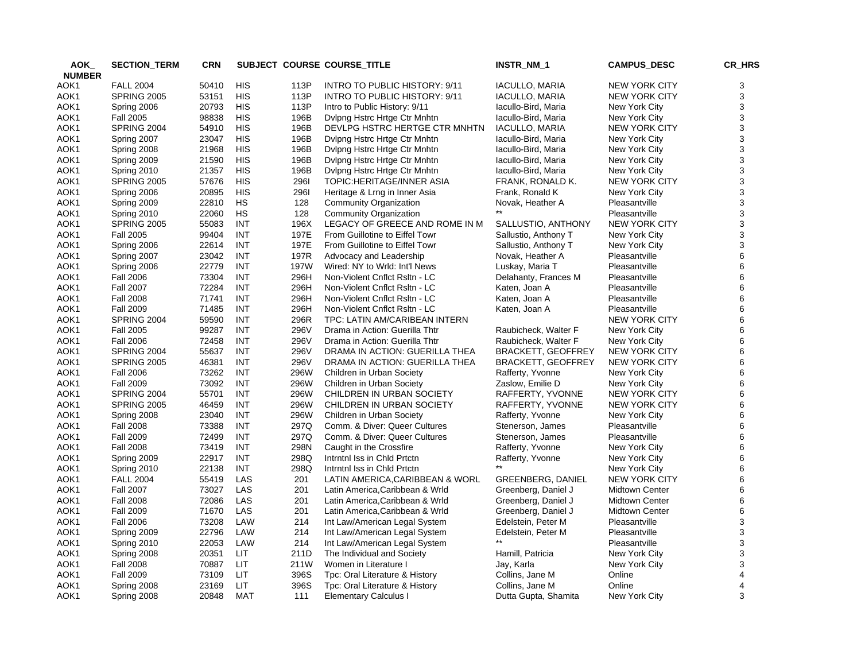| AOK_          | <b>SECTION TERM</b> | <b>CRN</b> |            |      | SUBJECT COURSE COURSE_TITLE     | INSTR_NM_1                | <b>CAMPUS_DESC</b>    | CR_HRS |
|---------------|---------------------|------------|------------|------|---------------------------------|---------------------------|-----------------------|--------|
| <b>NUMBER</b> |                     |            |            |      |                                 |                           |                       |        |
| AOK1          | <b>FALL 2004</b>    | 50410      | HIS        | 113P | INTRO TO PUBLIC HISTORY: 9/11   | IACULLO, MARIA            | <b>NEW YORK CITY</b>  | 3      |
| AOK1          | <b>SPRING 2005</b>  | 53151      | <b>HIS</b> | 113P | INTRO TO PUBLIC HISTORY: 9/11   | <b>IACULLO, MARIA</b>     | <b>NEW YORK CITY</b>  | 3      |
| AOK1          | Spring 2006         | 20793      | <b>HIS</b> | 113P | Intro to Public History: 9/11   | Iacullo-Bird, Maria       | New York City         | 3      |
| AOK1          | <b>Fall 2005</b>    | 98838      | <b>HIS</b> | 196B | Dvlpng Hstrc Hrtge Ctr Mnhtn    | lacullo-Bird, Maria       | New York City         | 3      |
| AOK1          | SPRING 2004         | 54910      | HIS        | 196B | DEVLPG HSTRC HERTGE CTR MNHTN   | IACULLO, MARIA            | <b>NEW YORK CITY</b>  | 3      |
| AOK1          | Spring 2007         | 23047      | <b>HIS</b> | 196B | Dylpng Hstrc Hrtge Ctr Mnhtn    | Iacullo-Bird, Maria       | New York City         | 3      |
| AOK1          | Spring 2008         | 21968      | <b>HIS</b> | 196B | Dvlpng Hstrc Hrtge Ctr Mnhtn    | lacullo-Bird, Maria       | New York City         | 3      |
| AOK1          | Spring 2009         | 21590      | <b>HIS</b> | 196B | Dvlpng Hstrc Hrtge Ctr Mnhtn    | lacullo-Bird, Maria       | New York City         | 3      |
| AOK1          | Spring 2010         | 21357      | <b>HIS</b> | 196B | Dvlpng Hstrc Hrtge Ctr Mnhtn    | Iacullo-Bird, Maria       | New York City         | 3      |
| AOK1          | <b>SPRING 2005</b>  | 57676      | <b>HIS</b> | 2961 | TOPIC: HERITAGE/INNER ASIA      | FRANK, RONALD K.          | <b>NEW YORK CITY</b>  | 3      |
| AOK1          | Spring 2006         | 20895      | <b>HIS</b> | 2961 | Heritage & Lrng in Inner Asia   | Frank, Ronald K           | New York City         | 3      |
| AOK1          | Spring 2009         | 22810      | HS         | 128  | Community Organization          | Novak, Heather A          | Pleasantville         | 3      |
| AOK1          | Spring 2010         | 22060      | HS         | 128  | <b>Community Organization</b>   |                           | Pleasantville         | 3      |
| AOK1          | <b>SPRING 2005</b>  | 55083      | <b>INT</b> | 196X | LEGACY OF GREECE AND ROME IN M  | SALLUSTIO, ANTHONY        | NEW YORK CITY         | 3      |
| AOK1          | <b>Fall 2005</b>    | 99404      | INT        | 197E | From Guillotine to Eiffel Towr  | Sallustio, Anthony T      | New York City         | 3      |
| AOK1          | Spring 2006         | 22614      | <b>INT</b> | 197E | From Guillotine to Eiffel Towr  | Sallustio, Anthony T      | New York City         | 3      |
| AOK1          | Spring 2007         | 23042      | <b>INT</b> | 197R | Advocacy and Leadership         | Novak, Heather A          | Pleasantville         | 6      |
| AOK1          | Spring 2006         | 22779      | INT        | 197W | Wired: NY to Wrld: Int'l News   | Luskay, Maria T           | Pleasantville         | 6      |
| AOK1          | <b>Fall 2006</b>    | 73304      | <b>INT</b> | 296H | Non-Violent Cnflct Rsltn - LC   | Delahanty, Frances M      | Pleasantville         | 6      |
| AOK1          | <b>Fall 2007</b>    | 72284      | INT        | 296H | Non-Violent Cnflct Rsltn - LC   | Katen, Joan A             | Pleasantville         | 6      |
| AOK1          | <b>Fall 2008</b>    | 71741      | <b>INT</b> | 296H | Non-Violent Cnflct Rsltn - LC   | Katen, Joan A             | Pleasantville         | 6      |
| AOK1          | <b>Fall 2009</b>    | 71485      | <b>INT</b> | 296H | Non-Violent Cnflct Rsltn - LC   | Katen, Joan A             | Pleasantville         | 6      |
| AOK1          | SPRING 2004         | 59590      | <b>INT</b> | 296R | TPC: LATIN AM/CARIBEAN INTERN   |                           | <b>NEW YORK CITY</b>  | 6      |
| AOK1          | <b>Fall 2005</b>    | 99287      | <b>INT</b> | 296V | Drama in Action: Guerilla Thtr  | Raubicheck, Walter F      | New York City         | 6      |
| AOK1          | <b>Fall 2006</b>    | 72458      | <b>INT</b> | 296V | Drama in Action: Guerilla Thtr  | Raubicheck, Walter F      | New York City         | 6      |
| AOK1          | SPRING 2004         | 55637      | INT        | 296V | DRAMA IN ACTION: GUERILLA THEA  | <b>BRACKETT, GEOFFREY</b> | <b>NEW YORK CITY</b>  | 6      |
| AOK1          | <b>SPRING 2005</b>  | 46381      | <b>INT</b> | 296V | DRAMA IN ACTION: GUERILLA THEA  | <b>BRACKETT, GEOFFREY</b> | <b>NEW YORK CITY</b>  | 6      |
| AOK1          | <b>Fall 2006</b>    | 73262      | INT        | 296W | Children in Urban Society       | Rafferty, Yvonne          | New York City         | 6      |
| AOK1          | <b>Fall 2009</b>    | 73092      | INT        | 296W | Children in Urban Society       | Zaslow, Emilie D          | New York City         | 6      |
| AOK1          | SPRING 2004         | 55701      | INT        | 296W | CHILDREN IN URBAN SOCIETY       | RAFFERTY, YVONNE          | NEW YORK CITY         | 6      |
| AOK1          | <b>SPRING 2005</b>  | 46459      | INT        | 296W | CHILDREN IN URBAN SOCIETY       | RAFFERTY, YVONNE          | <b>NEW YORK CITY</b>  | 6      |
| AOK1          | Spring 2008         | 23040      | INT        | 296W | Children in Urban Society       | Rafferty, Yvonne          | New York City         | 6      |
| AOK1          | <b>Fall 2008</b>    | 73388      | INT        | 297Q | Comm. & Diver: Queer Cultures   | Stenerson, James          | Pleasantville         | 6      |
| AOK1          | <b>Fall 2009</b>    | 72499      | INT        | 297Q | Comm. & Diver: Queer Cultures   | Stenerson, James          | Pleasantville         | 6      |
| AOK1          | <b>Fall 2008</b>    | 73419      | INT        | 298N | Caught in the Crossfire         | Rafferty, Yvonne          | New York City         | 6      |
| AOK1          | Spring 2009         | 22917      | INT        | 298Q | Intrntnl Iss in Chid Prtctn     | Rafferty, Yvonne          | New York City         | 6      |
| AOK1          | Spring 2010         | 22138      | INT        | 298Q | Intrntnl Iss in Chld Prtctn     | $***$                     | New York City         | 6      |
| AOK1          | <b>FALL 2004</b>    | 55419      | LAS        | 201  | LATIN AMERICA, CARIBBEAN & WORL | <b>GREENBERG, DANIEL</b>  | <b>NEW YORK CITY</b>  | 6      |
| AOK1          | <b>Fall 2007</b>    | 73027      | LAS        | 201  | Latin America, Caribbean & Wrld | Greenberg, Daniel J       | <b>Midtown Center</b> | 6      |
| AOK1          | <b>Fall 2008</b>    | 72086      | LAS        | 201  | Latin America, Caribbean & Wrld | Greenberg, Daniel J       | <b>Midtown Center</b> | 6      |
| AOK1          | <b>Fall 2009</b>    | 71670      | LAS        | 201  | Latin America, Caribbean & Wrld | Greenberg, Daniel J       | <b>Midtown Center</b> | 6      |
| AOK1          | <b>Fall 2006</b>    | 73208      | LAW        | 214  | Int Law/American Legal System   | Edelstein, Peter M        | Pleasantville         | 3      |
| AOK1          | Spring 2009         | 22796      | LAW        | 214  | Int Law/American Legal System   | Edelstein, Peter M        | Pleasantville         | 3      |
| AOK1          | Spring 2010         | 22053      | LAW        | 214  | Int Law/American Legal System   |                           | Pleasantville         | 3      |
| AOK1          | Spring 2008         | 20351      | LIT.       | 211D | The Individual and Society      | Hamill, Patricia          | New York City         | 3      |
| AOK1          | <b>Fall 2008</b>    | 70887      | LIT        | 211W | Women in Literature I           | Jay, Karla                | New York City         | 3      |
| AOK1          | <b>Fall 2009</b>    | 73109      | LIT        | 396S | Tpc: Oral Literature & History  | Collins, Jane M           | Online                | 4      |
| AOK1          | Spring 2008         | 23169      | LIT        | 396S | Tpc: Oral Literature & History  | Collins, Jane M           | Online                | 4      |
| AOK1          | Spring 2008         | 20848      | MAT        | 111  | <b>Elementary Calculus I</b>    | Dutta Gupta, Shamita      | New York City         | 3      |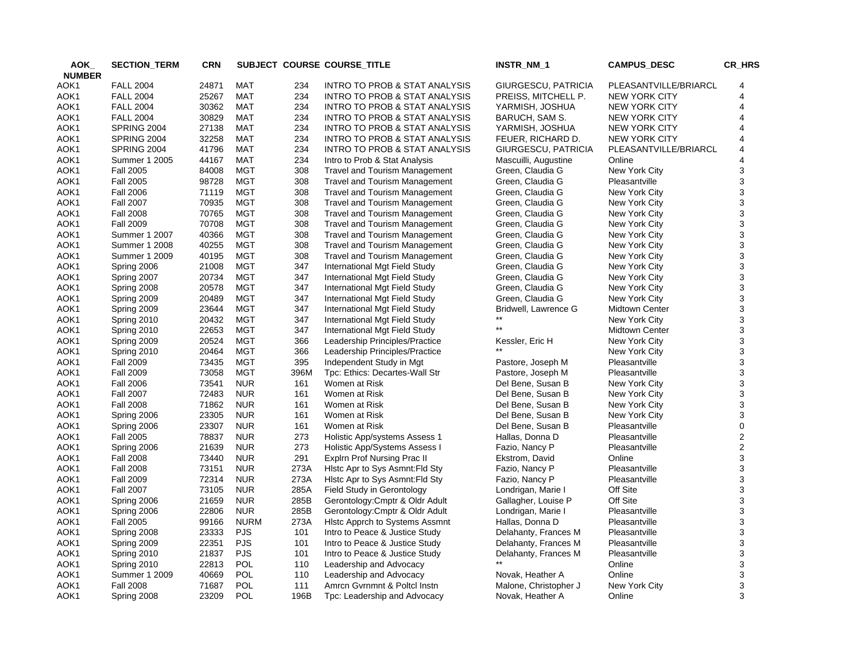| AOK           | <b>SECTION_TERM</b> | <b>CRN</b> |             |      | SUBJECT COURSE COURSE_TITLE                             | INSTR_NM_1            | <b>CAMPUS_DESC</b>    | CR_HRS |
|---------------|---------------------|------------|-------------|------|---------------------------------------------------------|-----------------------|-----------------------|--------|
| <b>NUMBER</b> |                     |            |             |      |                                                         |                       |                       |        |
| AOK1          | <b>FALL 2004</b>    | 24871      | MAT         | 234  | INTRO TO PROB & STAT ANALYSIS                           | GIURGESCU, PATRICIA   | PLEASANTVILLE/BRIARCL | 4      |
| AOK1          | <b>FALL 2004</b>    | 25267      | <b>MAT</b>  | 234  | <b>INTRO TO PROB &amp; STAT ANALYSIS</b>                | PREISS, MITCHELL P.   | <b>NEW YORK CITY</b>  | 4      |
| AOK1          | <b>FALL 2004</b>    | 30362      | MAT         | 234  | INTRO TO PROB & STAT ANALYSIS                           | YARMISH, JOSHUA       | <b>NEW YORK CITY</b>  | 4      |
| AOK1          | <b>FALL 2004</b>    | 30829      | <b>MAT</b>  | 234  | INTRO TO PROB & STAT ANALYSIS                           | BARUCH, SAM S.        | NEW YORK CITY         | 4      |
| AOK1          | SPRING 2004         | 27138      | MAT         | 234  | INTRO TO PROB & STAT ANALYSIS                           | YARMISH, JOSHUA       | <b>NEW YORK CITY</b>  | 4      |
| AOK1          | SPRING 2004         | 32258      | <b>MAT</b>  | 234  | <b>INTRO TO PROB &amp; STAT ANALYSIS</b>                | FEUER, RICHARD D.     | <b>NEW YORK CITY</b>  | 4      |
| AOK1          | SPRING 2004         | 41796      | MAT         | 234  | INTRO TO PROB & STAT ANALYSIS                           | GIURGESCU, PATRICIA   | PLEASANTVILLE/BRIARCL | 4      |
| AOK1          | Summer 1 2005       | 44167      | <b>MAT</b>  | 234  | Intro to Prob & Stat Analysis                           | Mascuilli, Augustine  | Online                | 4      |
| AOK1          | <b>Fall 2005</b>    | 84008      | <b>MGT</b>  | 308  | <b>Travel and Tourism Management</b>                    | Green, Claudia G      | New York City         | 3      |
| AOK1          | <b>Fall 2005</b>    | 98728      | MGT         | 308  | <b>Travel and Tourism Management</b>                    | Green, Claudia G      | Pleasantville         | 3      |
| AOK1          | <b>Fall 2006</b>    | 71119      | <b>MGT</b>  | 308  | <b>Travel and Tourism Management</b>                    | Green, Claudia G      | New York City         | 3      |
| AOK1          | <b>Fall 2007</b>    | 70935      | MGT         | 308  | <b>Travel and Tourism Management</b>                    | Green, Claudia G      | New York City         | 3      |
| AOK1          | <b>Fall 2008</b>    | 70765      | <b>MGT</b>  | 308  | <b>Travel and Tourism Management</b>                    | Green, Claudia G      | New York City         | 3      |
| AOK1          | <b>Fall 2009</b>    | 70708      | MGT         | 308  | <b>Travel and Tourism Management</b>                    | Green, Claudia G      | New York City         | 3      |
| AOK1          | Summer 1 2007       | 40366      | <b>MGT</b>  | 308  | <b>Travel and Tourism Management</b>                    | Green, Claudia G      | New York City         | 3      |
| AOK1          | Summer 1 2008       | 40255      | <b>MGT</b>  | 308  | <b>Travel and Tourism Management</b>                    | Green, Claudia G      | New York City         | 3      |
| AOK1          | Summer 1 2009       | 40195      | <b>MGT</b>  | 308  | <b>Travel and Tourism Management</b>                    | Green, Claudia G      | New York City         | 3      |
| AOK1          | Spring 2006         | 21008      | MGT         | 347  | International Mgt Field Study                           | Green, Claudia G      | New York City         | 3      |
| AOK1          | Spring 2007         | 20734      | <b>MGT</b>  | 347  | International Mgt Field Study                           | Green, Claudia G      | New York City         | 3      |
| AOK1          | Spring 2008         | 20578      | MGT         | 347  | International Mgt Field Study                           | Green, Claudia G      | New York City         | 3      |
| AOK1          | Spring 2009         | 20489      | <b>MGT</b>  | 347  | International Mgt Field Study                           | Green, Claudia G      | New York City         | 3      |
| AOK1          | Spring 2009         | 23644      | MGT         | 347  | International Mgt Field Study                           | Bridwell, Lawrence G  | <b>Midtown Center</b> | 3      |
| AOK1          | Spring 2010         | 20432      | <b>MGT</b>  | 347  | International Mgt Field Study                           |                       | New York City         | 3      |
| AOK1          | Spring 2010         | 22653      | MGT         | 347  | International Mgt Field Study                           |                       | <b>Midtown Center</b> | 3      |
| AOK1          | Spring 2009         | 20524      | <b>MGT</b>  | 366  | Leadership Principles/Practice                          | Kessler, Eric H       | New York City         | 3      |
| AOK1          | Spring 2010         | 20464      | <b>MGT</b>  | 366  | Leadership Principles/Practice                          |                       | New York City         | 3      |
| AOK1          | <b>Fall 2009</b>    | 73435      | <b>MGT</b>  | 395  | Independent Study in Mgt                                | Pastore, Joseph M     | Pleasantville         | 3      |
| AOK1          | <b>Fall 2009</b>    | 73058      | MGT         | 396M | Tpc: Ethics: Decartes-Wall Str                          | Pastore, Joseph M     | Pleasantville         | 3      |
| AOK1          | <b>Fall 2006</b>    | 73541      | <b>NUR</b>  | 161  | Women at Risk                                           | Del Bene, Susan B     | New York City         | 3      |
| AOK1          | <b>Fall 2007</b>    | 72483      | <b>NUR</b>  | 161  | Women at Risk                                           | Del Bene, Susan B     | New York City         | 3      |
| AOK1          | <b>Fall 2008</b>    | 71862      | <b>NUR</b>  | 161  | Women at Risk                                           | Del Bene, Susan B     | New York City         | 3      |
| AOK1          | Spring 2006         | 23305      | <b>NUR</b>  | 161  | Women at Risk                                           | Del Bene, Susan B     | New York City         | 3      |
| AOK1          | Spring 2006         | 23307      | <b>NUR</b>  | 161  | Women at Risk                                           | Del Bene, Susan B     | Pleasantville         | 0      |
| AOK1          | <b>Fall 2005</b>    | 78837      | <b>NUR</b>  | 273  | Holistic App/systems Assess 1                           | Hallas, Donna D       | Pleasantville         | 2      |
| AOK1          | Spring 2006         | 21639      | <b>NUR</b>  | 273  | Holistic App/Systems Assess I                           | Fazio, Nancy P        | Pleasantville         | 2      |
| AOK1          | <b>Fall 2008</b>    | 73440      | <b>NUR</b>  | 291  | Explrn Prof Nursing Prac II                             | Ekstrom, David        | Online                | 3      |
| AOK1          | <b>Fall 2008</b>    | 73151      | <b>NUR</b>  | 273A | Histc Apr to Sys Asmnt: Fld Sty                         | Fazio, Nancy P        | Pleasantville         | 3      |
| AOK1          | <b>Fall 2009</b>    | 72314      | <b>NUR</b>  | 273A | Histc Apr to Sys Asmnt: Fid Sty                         | Fazio, Nancy P        | Pleasantville         | 3      |
| AOK1          | <b>Fall 2007</b>    | 73105      | <b>NUR</b>  | 285A | Field Study in Gerontology                              | Londrigan, Marie I    | Off Site              | 3      |
| AOK1          | Spring 2006         | 21659      | <b>NUR</b>  | 285B | Gerontology: Cmptr & Oldr Adult                         | Gallagher, Louise P   | Off Site              | 3      |
| AOK1          | Spring 2006         | 22806      | <b>NUR</b>  | 285B | Gerontology: Cmptr & Oldr Adult                         | Londrigan, Marie I    | Pleasantville         | 3      |
| AOK1          | <b>Fall 2005</b>    | 99166      | <b>NURM</b> | 273A | Histc Apprch to Systems Assmnt                          | Hallas, Donna D       | Pleasantville         | 3      |
| AOK1          | Spring 2008         | 23333      | <b>PJS</b>  | 101  | Intro to Peace & Justice Study                          | Delahanty, Frances M  | Pleasantville         | 3      |
| AOK1          | Spring 2009         | 22351      | <b>PJS</b>  | 101  | Intro to Peace & Justice Study                          | Delahanty, Frances M  | Pleasantville         | 3      |
| AOK1          | Spring 2010         | 21837      | <b>PJS</b>  | 101  | Intro to Peace & Justice Study                          | Delahanty, Frances M  | Pleasantville         | 3      |
| AOK1          | Spring 2010         | 22813      | <b>POL</b>  | 110  | Leadership and Advocacy                                 | $***$                 | Online                | 3      |
|               | Summer 1 2009       | 40669      | <b>POL</b>  | 110  |                                                         | Novak, Heather A      | Online                | 3      |
| AOK1<br>AOK1  | <b>Fall 2008</b>    | 71687      | <b>POL</b>  | 111  | Leadership and Advocacy<br>Amrcn Gvrnmnt & Poltcl Instn | Malone, Christopher J | New York City         | 3      |
| AOK1          |                     | 23209      | <b>POL</b>  | 196B |                                                         | Novak, Heather A      | Online                | 3      |
|               | Spring 2008         |            |             |      | Tpc: Leadership and Advocacy                            |                       |                       |        |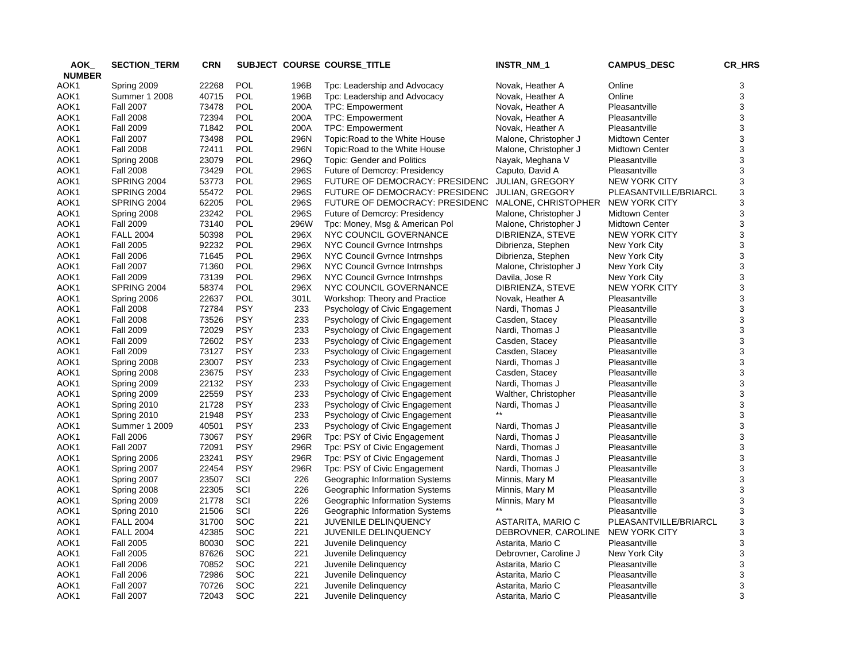| AOK_          | <b>SECTION_TERM</b> | <b>CRN</b> |                          |            | SUBJECT COURSE COURSE_TITLE       | INSTR_NM_1             | <b>CAMPUS_DESC</b>    | CR_HRS                                   |
|---------------|---------------------|------------|--------------------------|------------|-----------------------------------|------------------------|-----------------------|------------------------------------------|
| <b>NUMBER</b> |                     |            |                          |            |                                   |                        |                       |                                          |
| AOK1          | Spring 2009         | 22268      | POL                      | 196B       | Tpc: Leadership and Advocacy      | Novak, Heather A       | Online                | 3                                        |
| AOK1          | Summer 1 2008       | 40715      | POL                      | 196B       | Tpc: Leadership and Advocacy      | Novak, Heather A       | Online                | 3                                        |
| AOK1          | <b>Fall 2007</b>    | 73478      | POL                      | 200A       | TPC: Empowerment                  | Novak, Heather A       | Pleasantville         | 3                                        |
| AOK1          | <b>Fall 2008</b>    | 72394      | <b>POL</b>               | 200A       | <b>TPC: Empowerment</b>           | Novak, Heather A       | Pleasantville         | 3                                        |
| AOK1          | <b>Fall 2009</b>    | 71842      | POL                      | 200A       | TPC: Empowerment                  | Novak, Heather A       | Pleasantville         | 3                                        |
| AOK1          | <b>Fall 2007</b>    | 73498      | POL                      | 296N       | Topic: Road to the White House    | Malone, Christopher J  | <b>Midtown Center</b> | $\ensuremath{\mathsf{3}}$                |
| AOK1          | <b>Fall 2008</b>    | 72411      | POL                      | 296N       | Topic: Road to the White House    | Malone, Christopher J  | <b>Midtown Center</b> | $\mathsf 3$                              |
| AOK1          | Spring 2008         | 23079      | POL                      | 296Q       | <b>Topic: Gender and Politics</b> | Nayak, Meghana V       | Pleasantville         | $\ensuremath{\mathsf{3}}$                |
| AOK1          | <b>Fall 2008</b>    | 73429      | POL                      | 296S       | Future of Demcrcy: Presidency     | Caputo, David A        | Pleasantville         | 3                                        |
| AOK1          | SPRING 2004         | 53773      | POL                      | 296S       | FUTURE OF DEMOCRACY: PRESIDENC    | <b>JULIAN, GREGORY</b> | <b>NEW YORK CITY</b>  | $\ensuremath{\mathsf{3}}$                |
| AOK1          | SPRING 2004         | 55472      | POL                      | 296S       | FUTURE OF DEMOCRACY: PRESIDENC    | <b>JULIAN, GREGORY</b> | PLEASANTVILLE/BRIARCL | $\ensuremath{\mathsf{3}}$                |
| AOK1          | SPRING 2004         | 62205      | POL                      | 296S       | FUTURE OF DEMOCRACY: PRESIDENC    | MALONE, CHRISTOPHER    | <b>NEW YORK CITY</b>  | 3                                        |
| AOK1          | Spring 2008         | 23242      | POL                      | 296S       | Future of Demcrcy: Presidency     | Malone, Christopher J  | <b>Midtown Center</b> | 3                                        |
| AOK1          | <b>Fall 2009</b>    | 73140      | POL                      | 296W       | Tpc: Money, Msg & American Pol    | Malone, Christopher J  | <b>Midtown Center</b> | 3                                        |
| AOK1          | <b>FALL 2004</b>    | 50398      | <b>POL</b>               | 296X       | NYC COUNCIL GOVERNANCE            | DIBRIENZA, STEVE       | <b>NEW YORK CITY</b>  | $\ensuremath{\mathsf{3}}$                |
| AOK1          | <b>Fall 2005</b>    | 92232      | POL                      | 296X       | NYC Council Gvrnce Intrnshps      | Dibrienza, Stephen     | New York City         | $\ensuremath{\mathsf{3}}$                |
| AOK1          | <b>Fall 2006</b>    | 71645      | POL                      | 296X       | NYC Council Gyrnce Intrnshps      | Dibrienza, Stephen     | New York City         | $\mathsf 3$                              |
| AOK1          | <b>Fall 2007</b>    | 71360      | <b>POL</b>               | 296X       | NYC Council Gvrnce Intrnshps      | Malone, Christopher J  | New York City         | 3                                        |
| AOK1          | <b>Fall 2009</b>    | 73139      | POL                      | 296X       | NYC Council Gvrnce Intrnshps      | Davila, Jose R         | New York City         | $\ensuremath{\mathsf{3}}$                |
| AOK1          | SPRING 2004         | 58374      | <b>POL</b>               | 296X       | NYC COUNCIL GOVERNANCE            | DIBRIENZA, STEVE       | <b>NEW YORK CITY</b>  | $\ensuremath{\mathsf{3}}$                |
| AOK1          | Spring 2006         | 22637      | <b>POL</b>               | 301L       | Workshop: Theory and Practice     | Novak, Heather A       | Pleasantville         | 3                                        |
| AOK1          | <b>Fall 2008</b>    | 72784      | <b>PSY</b>               | 233        | Psychology of Civic Engagement    | Nardi, Thomas J        | Pleasantville         | $\ensuremath{\mathsf{3}}$                |
|               | <b>Fall 2008</b>    | 73526      | <b>PSY</b>               | 233        | Psychology of Civic Engagement    | Casden, Stacey         | Pleasantville         | $\mathsf 3$                              |
| AOK1          | <b>Fall 2009</b>    | 72029      | <b>PSY</b>               | 233        |                                   |                        | Pleasantville         | $\ensuremath{\mathsf{3}}$                |
| AOK1          |                     |            |                          |            | Psychology of Civic Engagement    | Nardi, Thomas J        |                       |                                          |
| AOK1          | <b>Fall 2009</b>    | 72602      | <b>PSY</b><br><b>PSY</b> | 233<br>233 | Psychology of Civic Engagement    | Casden, Stacey         | Pleasantville         | $\mathsf 3$<br>$\ensuremath{\mathsf{3}}$ |
| AOK1          | <b>Fall 2009</b>    | 73127      |                          |            | Psychology of Civic Engagement    | Casden, Stacey         | Pleasantville         |                                          |
| AOK1          | Spring 2008         | 23007      | <b>PSY</b>               | 233        | Psychology of Civic Engagement    | Nardi, Thomas J        | Pleasantville         | $\ensuremath{\mathsf{3}}$                |
| AOK1          | Spring 2008         | 23675      | <b>PSY</b>               | 233        | Psychology of Civic Engagement    | Casden, Stacey         | Pleasantville         | $\ensuremath{\mathsf{3}}$                |
| AOK1          | Spring 2009         | 22132      | <b>PSY</b>               | 233        | Psychology of Civic Engagement    | Nardi, Thomas J        | Pleasantville         | $\ensuremath{\mathsf{3}}$                |
| AOK1          | Spring 2009         | 22559      | <b>PSY</b>               | 233        | Psychology of Civic Engagement    | Walther, Christopher   | Pleasantville         | $\mathsf 3$                              |
| AOK1          | Spring 2010         | 21728      | <b>PSY</b>               | 233        | Psychology of Civic Engagement    | Nardi, Thomas J        | Pleasantville         | 3                                        |
| AOK1          | Spring 2010         | 21948      | <b>PSY</b>               | 233        | Psychology of Civic Engagement    |                        | Pleasantville         | $\ensuremath{\mathsf{3}}$                |
| AOK1          | Summer 1 2009       | 40501      | <b>PSY</b>               | 233        | Psychology of Civic Engagement    | Nardi, Thomas J        | Pleasantville         | 3                                        |
| AOK1          | <b>Fall 2006</b>    | 73067      | <b>PSY</b>               | 296R       | Tpc: PSY of Civic Engagement      | Nardi, Thomas J        | Pleasantville         | $\ensuremath{\mathsf{3}}$                |
| AOK1          | <b>Fall 2007</b>    | 72091      | <b>PSY</b>               | 296R       | Tpc: PSY of Civic Engagement      | Nardi, Thomas J        | Pleasantville         | 3                                        |
| AOK1          | Spring 2006         | 23241      | <b>PSY</b>               | 296R       | Tpc: PSY of Civic Engagement      | Nardi, Thomas J        | Pleasantville         | $\mathsf 3$                              |
| AOK1          | Spring 2007         | 22454      | <b>PSY</b>               | 296R       | Tpc: PSY of Civic Engagement      | Nardi, Thomas J        | Pleasantville         | 3                                        |
| AOK1          | Spring 2007         | 23507      | SCI                      | 226        | Geographic Information Systems    | Minnis, Mary M         | Pleasantville         | $\ensuremath{\mathsf{3}}$                |
| AOK1          | Spring 2008         | 22305      | SCI                      | 226        | Geographic Information Systems    | Minnis, Mary M         | Pleasantville         | $\ensuremath{\mathsf{3}}$                |
| AOK1          | Spring 2009         | 21778      | SCI                      | 226        | Geographic Information Systems    | Minnis, Mary M         | Pleasantville         | $\ensuremath{\mathsf{3}}$                |
| AOK1          | Spring 2010         | 21506      | SCI                      | 226        | Geographic Information Systems    | $***$                  | Pleasantville         | $\ensuremath{\mathsf{3}}$                |
| AOK1          | <b>FALL 2004</b>    | 31700      | SOC                      | 221        | JUVENILE DELINQUENCY              | ASTARITA, MARIO C      | PLEASANTVILLE/BRIARCL | $\ensuremath{\mathsf{3}}$                |
| AOK1          | <b>FALL 2004</b>    | 42385      | <b>SOC</b>               | 221        | JUVENILE DELINQUENCY              | DEBROVNER, CAROLINE    | <b>NEW YORK CITY</b>  | 3                                        |
| AOK1          | <b>Fall 2005</b>    | 80030      | SOC                      | 221        | Juvenile Delinquency              | Astarita, Mario C      | Pleasantville         | 3                                        |
| AOK1          | <b>Fall 2005</b>    | 87626      | <b>SOC</b>               | 221        | Juvenile Delinquency              | Debrovner, Caroline J  | New York City         | 3                                        |
| AOK1          | <b>Fall 2006</b>    | 70852      | <b>SOC</b>               | 221        | Juvenile Delinquency              | Astarita, Mario C      | Pleasantville         | 3                                        |
| AOK1          | <b>Fall 2006</b>    | 72986      | SOC                      | 221        | Juvenile Delinguency              | Astarita, Mario C      | Pleasantville         | 3                                        |
| AOK1          | <b>Fall 2007</b>    | 70726      | <b>SOC</b>               | 221        | Juvenile Delinquency              | Astarita, Mario C      | Pleasantville         | 3                                        |
| AOK1          | <b>Fall 2007</b>    | 72043      | SOC                      | 221        | Juvenile Delinguency              | Astarita, Mario C      | Pleasantville         | 3                                        |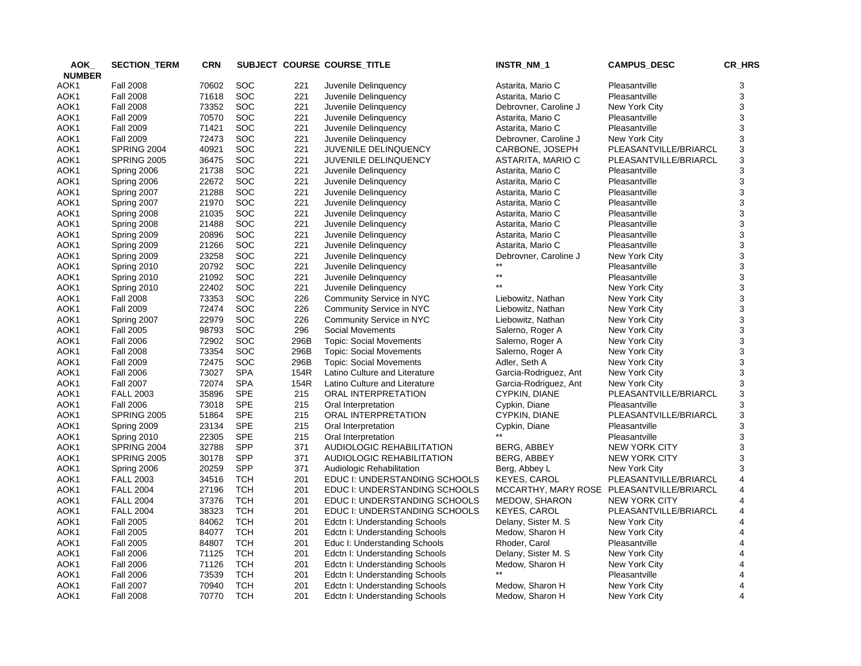| AOK           | <b>SECTION_TERM</b>        | <b>CRN</b>     |                          |            | SUBJECT COURSE COURSE_TITLE                             | INSTR_NM_1                     | <b>CAMPUS_DESC</b>                        | CR_HRS              |
|---------------|----------------------------|----------------|--------------------------|------------|---------------------------------------------------------|--------------------------------|-------------------------------------------|---------------------|
| <b>NUMBER</b> |                            |                |                          |            |                                                         |                                |                                           |                     |
| AOK1          | <b>Fall 2008</b>           | 70602          | <b>SOC</b>               | 221        | Juvenile Delinquency                                    | Astarita, Mario C              | Pleasantville                             | 3                   |
| AOK1          | <b>Fall 2008</b>           | 71618          | SOC                      | 221        | Juvenile Delinquency                                    | Astarita, Mario C              | Pleasantville                             | 3                   |
| AOK1          | <b>Fall 2008</b>           | 73352          | <b>SOC</b>               | 221        | Juvenile Delinquency                                    | Debrovner, Caroline J          | New York City                             | 3                   |
| AOK1          | <b>Fall 2009</b>           | 70570          | SOC                      | 221        | Juvenile Delinguency                                    | Astarita, Mario C              | Pleasantville                             | 3                   |
| AOK1          | <b>Fall 2009</b>           | 71421          | <b>SOC</b>               | 221        | Juvenile Delinquency                                    | Astarita, Mario C              | Pleasantville                             | 3                   |
| AOK1          | <b>Fall 2009</b>           | 72473          | SOC                      | 221        | Juvenile Delinguency                                    | Debrovner, Caroline J          | New York City                             | 3                   |
| AOK1          | SPRING 2004                | 40921          | <b>SOC</b>               | 221        | JUVENILE DELINQUENCY                                    | CARBONE, JOSEPH                | PLEASANTVILLE/BRIARCL                     | 3                   |
| AOK1          | <b>SPRING 2005</b>         | 36475          | SOC                      | 221        | <b>JUVENILE DELINQUENCY</b>                             | ASTARITA, MARIO C              | PLEASANTVILLE/BRIARCL                     | 3                   |
| AOK1          | Spring 2006                | 21738          | <b>SOC</b>               | 221        | Juvenile Delinquency                                    | Astarita, Mario C              | Pleasantville                             | 3                   |
| AOK1          | Spring 2006                | 22672          | SOC                      | 221        | Juvenile Delinquency                                    | Astarita, Mario C              | Pleasantville                             | 3                   |
| AOK1          | Spring 2007                | 21288          | <b>SOC</b>               | 221        | Juvenile Delinquency                                    | Astarita, Mario C              | Pleasantville                             | 3                   |
| AOK1          | Spring 2007                | 21970          | <b>SOC</b>               | 221        | Juvenile Delinguency                                    | Astarita, Mario C              | Pleasantville                             | 3                   |
| AOK1          | Spring 2008                | 21035          | <b>SOC</b>               | 221        | Juvenile Delinquency                                    | Astarita, Mario C              | Pleasantville                             | 3                   |
| AOK1          | Spring 2008                | 21488          | <b>SOC</b>               | 221        | Juvenile Delinguency                                    | Astarita, Mario C              | Pleasantville                             | 3                   |
| AOK1          | Spring 2009                | 20896          | <b>SOC</b>               | 221        | Juvenile Delinquency                                    | Astarita, Mario C              | Pleasantville                             | 3                   |
| AOK1          | Spring 2009                | 21266          | SOC                      | 221        | Juvenile Delinguency                                    | Astarita, Mario C              | Pleasantville                             | 3                   |
| AOK1          | Spring 2009                | 23258          | SOC                      | 221        | Juvenile Delinquency                                    | Debrovner, Caroline J          | New York City                             | 3                   |
| AOK1          | Spring 2010                | 20792          | <b>SOC</b>               | 221        | Juvenile Delinquency                                    |                                | Pleasantville                             | 3                   |
| AOK1          | Spring 2010                | 21092          | <b>SOC</b>               | 221        | Juvenile Delinquency                                    | $\star\star$                   | Pleasantville                             | 3                   |
| AOK1          | Spring 2010                | 22402          | <b>SOC</b>               | 221        | Juvenile Delinquency                                    | $\star\star$                   | New York City                             | 3                   |
| AOK1          | <b>Fall 2008</b>           | 73353          | SOC                      | 226        | Community Service in NYC                                | Liebowitz, Nathan              | New York City                             | 3                   |
| AOK1          | <b>Fall 2009</b>           | 72474          | <b>SOC</b>               | 226        | Community Service in NYC                                | Liebowitz, Nathan              | New York City                             | 3                   |
| AOK1          | Spring 2007                | 22979          | SOC                      | 226        | Community Service in NYC                                | Liebowitz, Nathan              | New York City                             | 3                   |
| AOK1          | <b>Fall 2005</b>           | 98793          | <b>SOC</b>               | 296        | Social Movements                                        | Salerno, Roger A               | New York City                             | 3                   |
| AOK1          | <b>Fall 2006</b>           | 72902          | SOC                      | 296B       | <b>Topic: Social Movements</b>                          | Salerno, Roger A               | New York City                             | 3                   |
| AOK1          | <b>Fall 2008</b>           | 73354          | <b>SOC</b>               | 296B       | <b>Topic: Social Movements</b>                          | Salerno, Roger A               | New York City                             | 3                   |
| AOK1          | <b>Fall 2009</b>           | 72475          | SOC                      | 296B       | <b>Topic: Social Movements</b>                          | Adler, Seth A                  | New York City                             | 3                   |
| AOK1          | <b>Fall 2006</b>           | 73027          | <b>SPA</b>               | 154R       | Latino Culture and Literature                           | Garcia-Rodriguez, Ant          | New York City                             | 3                   |
| AOK1          | <b>Fall 2007</b>           | 72074          | <b>SPA</b>               | 154R       | Latino Culture and Literature                           | Garcia-Rodriguez, Ant          | New York City                             | 3                   |
| AOK1          | <b>FALL 2003</b>           | 35896          | <b>SPE</b>               | 215        | ORAL INTERPRETATION                                     | CYPKIN, DIANE                  | PLEASANTVILLE/BRIARCL                     | 3                   |
| AOK1          | <b>Fall 2006</b>           | 73018          | <b>SPE</b>               | 215        | Oral Interpretation                                     | Cypkin, Diane                  | Pleasantville                             | 3                   |
|               | SPRING 2005                | 51864          | <b>SPE</b>               | 215        |                                                         |                                | PLEASANTVILLE/BRIARCL                     | 3                   |
| AOK1<br>AOK1  |                            | 23134          | <b>SPE</b>               | 215        | ORAL INTERPRETATION<br>Oral Interpretation              | CYPKIN, DIANE<br>Cypkin, Diane | Pleasantville                             | 3                   |
|               | Spring 2009                |                | <b>SPE</b>               |            |                                                         |                                |                                           |                     |
| AOK1          | Spring 2010<br>SPRING 2004 | 22305<br>32788 | <b>SPP</b>               | 215<br>371 | Oral Interpretation<br><b>AUDIOLOGIC REHABILITATION</b> |                                | Pleasantville<br><b>NEW YORK CITY</b>     | 3<br>3              |
| AOK1          |                            |                | <b>SPP</b>               | 371        |                                                         | BERG, ABBEY                    |                                           |                     |
| AOK1          | <b>SPRING 2005</b>         | 30178          | <b>SPP</b>               |            | AUDIOLOGIC REHABILITATION                               | BERG, ABBEY                    | <b>NEW YORK CITY</b>                      | 3                   |
| AOK1          | Spring 2006                | 20259          |                          | 371        | Audiologic Rehabilitation                               | Berg, Abbey L                  | New York City                             | 3                   |
| AOK1          | <b>FALL 2003</b>           | 34516          | <b>TCH</b>               | 201        | EDUC I: UNDERSTANDING SCHOOLS                           | <b>KEYES, CAROL</b>            | PLEASANTVILLE/BRIARCL                     | 4                   |
| AOK1          | <b>FALL 2004</b>           | 27196          | <b>TCH</b>               | 201        | EDUC I: UNDERSTANDING SCHOOLS                           |                                | MCCARTHY, MARY ROSE PLEASANTVILLE/BRIARCL | 4                   |
| AOK1          | <b>FALL 2004</b>           | 37376          | <b>TCH</b>               | 201        | EDUC I: UNDERSTANDING SCHOOLS                           | <b>MEDOW, SHARON</b>           | <b>NEW YORK CITY</b>                      | 4<br>$\overline{4}$ |
| AOK1          | <b>FALL 2004</b>           | 38323          | <b>TCH</b>               | 201        | EDUC I: UNDERSTANDING SCHOOLS                           | <b>KEYES, CAROL</b>            | PLEASANTVILLE/BRIARCL                     | 4                   |
| AOK1          | <b>Fall 2005</b>           | 84062          | <b>TCH</b><br><b>TCH</b> | 201        | Edctn I: Understanding Schools                          | Delany, Sister M. S.           | New York City                             | $\overline{4}$      |
| AOK1          | <b>Fall 2005</b>           | 84077          |                          | 201        | Edctn I: Understanding Schools                          | Medow, Sharon H                | New York City                             |                     |
| AOK1          | <b>Fall 2005</b>           | 84807          | <b>TCH</b>               | 201        | Educ I: Understanding Schools                           | Rhoder, Carol                  | Pleasantville                             | 4                   |
| AOK1          | <b>Fall 2006</b>           | 71125          | <b>TCH</b>               | 201        | Edctn I: Understanding Schools                          | Delany, Sister M. S            | New York City                             | 4                   |
| AOK1          | <b>Fall 2006</b>           | 71126          | <b>TCH</b>               | 201        | Edctn I: Understanding Schools                          | Medow, Sharon H                | New York City                             |                     |
| AOK1          | <b>Fall 2006</b>           | 73539          | <b>TCH</b>               | 201        | Edctn I: Understanding Schools                          |                                | Pleasantville                             |                     |
| AOK1          | <b>Fall 2007</b>           | 70940          | <b>TCH</b>               | 201        | Edctn I: Understanding Schools                          | Medow, Sharon H                | New York City                             |                     |
| AOK1          | <b>Fall 2008</b>           | 70770          | <b>TCH</b>               | 201        | Edctn I: Understanding Schools                          | Medow, Sharon H                | New York City                             | 4                   |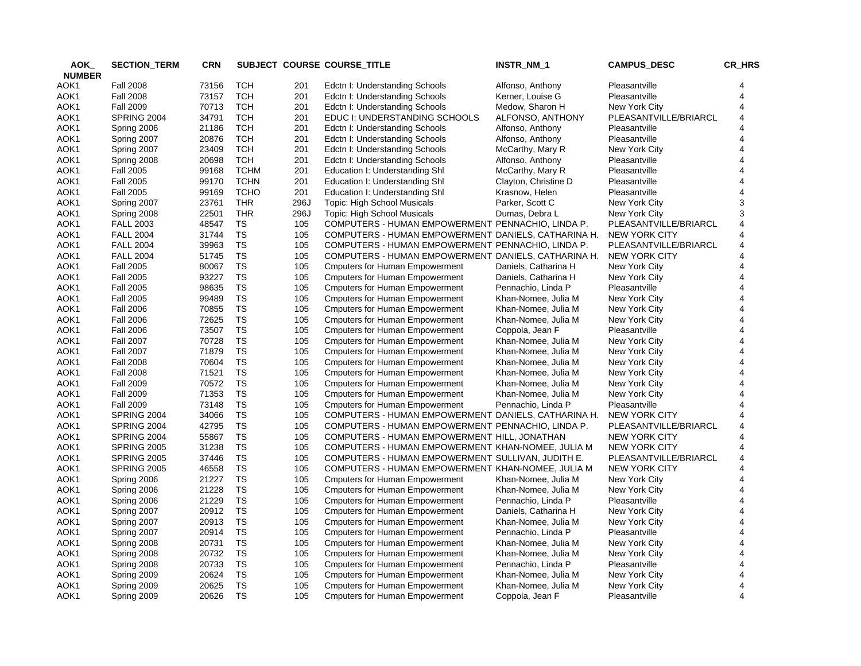| AOK_          | <b>SECTION_TERM</b> | <b>CRN</b> |             |      | SUBJECT COURSE COURSE_TITLE                         | INSTR_NM_1           | <b>CAMPUS_DESC</b>    | CR_HRS |
|---------------|---------------------|------------|-------------|------|-----------------------------------------------------|----------------------|-----------------------|--------|
| <b>NUMBER</b> |                     |            |             |      |                                                     |                      |                       |        |
| AOK1          | <b>Fall 2008</b>    | 73156      | TCH         | 201  | Edctn I: Understanding Schools                      | Alfonso, Anthony     | Pleasantville         |        |
| AOK1          | <b>Fall 2008</b>    | 73157      | <b>TCH</b>  | 201  | Edctn I: Understanding Schools                      | Kerner, Louise G     | Pleasantville         | 4      |
| AOK1          | <b>Fall 2009</b>    | 70713      | TCH         | 201  | Edctn I: Understanding Schools                      | Medow, Sharon H      | New York City         | 4      |
| AOK1          | SPRING 2004         | 34791      | <b>TCH</b>  | 201  | EDUC I: UNDERSTANDING SCHOOLS                       | ALFONSO, ANTHONY     | PLEASANTVILLE/BRIARCL | 4      |
| AOK1          | Spring 2006         | 21186      | <b>TCH</b>  | 201  | Edctn I: Understanding Schools                      | Alfonso, Anthony     | Pleasantville         | 4      |
| AOK1          | Spring 2007         | 20876      | <b>TCH</b>  | 201  | Edctn I: Understanding Schools                      | Alfonso, Anthony     | Pleasantville         | 4      |
| AOK1          | Spring 2007         | 23409      | <b>TCH</b>  | 201  | Edctn I: Understanding Schools                      | McCarthy, Mary R     | New York City         | 4      |
| AOK1          | Spring 2008         | 20698      | <b>TCH</b>  | 201  | Edctn I: Understanding Schools                      | Alfonso, Anthony     | Pleasantville         | 4      |
| AOK1          | <b>Fall 2005</b>    | 99168      | <b>TCHM</b> | 201  | Education I: Understanding Shl                      | McCarthy, Mary R     | Pleasantville         | 4      |
| AOK1          | <b>Fall 2005</b>    | 99170      | <b>TCHN</b> | 201  | Education I: Understanding Shl                      | Clayton, Christine D | Pleasantville         | 4      |
| AOK1          | <b>Fall 2005</b>    | 99169      | <b>TCHO</b> | 201  | Education I: Understanding Shl                      | Krasnow, Helen       | Pleasantville         | 4      |
| AOK1          | Spring 2007         | 23761      | <b>THR</b>  | 296J | Topic: High School Musicals                         | Parker, Scott C      | New York City         | 3      |
| AOK1          | Spring 2008         | 22501      | <b>THR</b>  | 296J | Topic: High School Musicals                         | Dumas, Debra L       | New York City         | 3      |
| AOK1          | <b>FALL 2003</b>    | 48547      | TS          | 105  | COMPUTERS - HUMAN EMPOWERMENT PENNACHIO, LINDA P.   |                      | PLEASANTVILLE/BRIARCL | 4      |
| AOK1          | <b>FALL 2004</b>    | 31744      | TS          | 105  | COMPUTERS - HUMAN EMPOWERMENT DANIELS, CATHARINA H. |                      | NEW YORK CITY         | 4      |
| AOK1          | <b>FALL 2004</b>    | 39963      | <b>TS</b>   | 105  | COMPUTERS - HUMAN EMPOWERMENT PENNACHIO, LINDA P.   |                      | PLEASANTVILLE/BRIARCL | 4      |
| AOK1          | <b>FALL 2004</b>    | 51745      | TS          | 105  | COMPUTERS - HUMAN EMPOWERMENT DANIELS, CATHARINA H. |                      | <b>NEW YORK CITY</b>  | 4      |
| AOK1          | <b>Fall 2005</b>    | 80067      | TS          | 105  | <b>Cmputers for Human Empowerment</b>               | Daniels, Catharina H | New York City         | 4      |
| AOK1          | <b>Fall 2005</b>    | 93227      | TS          | 105  | <b>C</b> mputers for Human Empowerment              | Daniels, Catharina H | New York City         | 4      |
| AOK1          | <b>Fall 2005</b>    | 98635      | TS          | 105  | <b>Cmputers for Human Empowerment</b>               | Pennachio, Linda P   | Pleasantville         | 4      |
| AOK1          | <b>Fall 2005</b>    | 99489      | TS          | 105  | <b>Cmputers for Human Empowerment</b>               | Khan-Nomee, Julia M  | New York City         | 4      |
| AOK1          | <b>Fall 2006</b>    | 70855      | <b>TS</b>   | 105  | <b>Cmputers for Human Empowerment</b>               | Khan-Nomee, Julia M  | New York City         | 4      |
| AOK1          | <b>Fall 2006</b>    | 72625      | ${\tt TS}$  | 105  | <b>Cmputers for Human Empowerment</b>               | Khan-Nomee, Julia M  | New York City         | 4      |
| AOK1          | <b>Fall 2006</b>    | 73507      | <b>TS</b>   | 105  | <b>Cmputers for Human Empowerment</b>               | Coppola, Jean F      | Pleasantville         | 4      |
| AOK1          | <b>Fall 2007</b>    | 70728      | TS          | 105  | <b>Cmputers for Human Empowerment</b>               | Khan-Nomee, Julia M  | New York City         | 4      |
| AOK1          | <b>Fall 2007</b>    | 71879      | <b>TS</b>   | 105  | <b>Cmputers for Human Empowerment</b>               | Khan-Nomee, Julia M  | New York City         | 4      |
| AOK1          | <b>Fall 2008</b>    | 70604      | TS          | 105  | <b>Cmputers for Human Empowerment</b>               | Khan-Nomee, Julia M  | New York City         | 4      |
| AOK1          | <b>Fall 2008</b>    | 71521      | TS          | 105  | <b>Cmputers for Human Empowerment</b>               | Khan-Nomee, Julia M  | New York City         | 4      |
| AOK1          | <b>Fall 2009</b>    | 70572      | TS          | 105  | <b>Cmputers for Human Empowerment</b>               | Khan-Nomee, Julia M  | New York City         | 4      |
| AOK1          | <b>Fall 2009</b>    | 71353      | <b>TS</b>   | 105  | <b>Cmputers for Human Empowerment</b>               | Khan-Nomee, Julia M  | New York City         | 4      |
| AOK1          | <b>Fall 2009</b>    | 73148      | TS          | 105  | <b>C</b> mputers for Human Empowerment              | Pennachio, Linda P   | Pleasantville         | 4      |
| AOK1          | SPRING 2004         | 34066      | <b>TS</b>   | 105  | COMPUTERS - HUMAN EMPOWERMENT DANIELS, CATHARINA H. |                      | <b>NEW YORK CITY</b>  | 4      |
| AOK1          | SPRING 2004         | 42795      | <b>TS</b>   | 105  | COMPUTERS - HUMAN EMPOWERMENT PENNACHIO, LINDA P.   |                      | PLEASANTVILLE/BRIARCL | 4      |
| AOK1          | SPRING 2004         | 55867      | TS          | 105  | COMPUTERS - HUMAN EMPOWERMENT HILL, JONATHAN        |                      | <b>NEW YORK CITY</b>  | 4      |
| AOK1          | SPRING 2005         | 31238      | TS          | 105  | COMPUTERS - HUMAN EMPOWERMENT KHAN-NOMEE, JULIA M   |                      | NEW YORK CITY         | 4      |
| AOK1          | <b>SPRING 2005</b>  | 37446      | <b>TS</b>   | 105  | COMPUTERS - HUMAN EMPOWERMENT SULLIVAN, JUDITH E.   |                      | PLEASANTVILLE/BRIARCL | 4      |
| AOK1          | <b>SPRING 2005</b>  | 46558      | TS          | 105  | COMPUTERS - HUMAN EMPOWERMENT KHAN-NOMEE, JULIA M   |                      | NEW YORK CITY         | 4      |
| AOK1          | Spring 2006         | 21227      | <b>TS</b>   | 105  | <b>Cmputers for Human Empowerment</b>               | Khan-Nomee, Julia M  | New York City         | 4      |
| AOK1          | Spring 2006         | 21228      | TS          | 105  | <b>Cmputers for Human Empowerment</b>               | Khan-Nomee, Julia M  | New York City         | 4      |
| AOK1          | Spring 2006         | 21229      | <b>TS</b>   | 105  | <b>Cmputers for Human Empowerment</b>               | Pennachio, Linda P   | Pleasantville         | 4      |
| AOK1          | Spring 2007         | 20912      | <b>TS</b>   | 105  | <b>C</b> mputers for Human Empowerment              | Daniels, Catharina H | New York City         | 4      |
| AOK1          | Spring 2007         | 20913      | <b>TS</b>   | 105  | <b>Cmputers for Human Empowerment</b>               | Khan-Nomee, Julia M  | New York City         | 4      |
| AOK1          | Spring 2007         | 20914      | <b>TS</b>   | 105  |                                                     |                      | Pleasantville         | 4      |
|               |                     |            | <b>TS</b>   |      | <b>Cmputers for Human Empowerment</b>               | Pennachio, Linda P   |                       |        |
| AOK1          | Spring 2008         | 20731      | <b>TS</b>   | 105  | <b>Cmputers for Human Empowerment</b>               | Khan-Nomee, Julia M  | New York City         | 4<br>4 |
| AOK1          | Spring 2008         | 20732      |             | 105  | <b>Cmputers for Human Empowerment</b>               | Khan-Nomee, Julia M  | New York City         |        |
| AOK1          | Spring 2008         | 20733      | <b>TS</b>   | 105  | <b>Cmputers for Human Empowerment</b>               | Pennachio, Linda P   | Pleasantville         | 4      |
| AOK1          | Spring 2009         | 20624      | <b>TS</b>   | 105  | <b>Cmputers for Human Empowerment</b>               | Khan-Nomee, Julia M  | New York City         | 4      |
| AOK1          | Spring 2009         | 20625      | <b>TS</b>   | 105  | <b>Cmputers for Human Empowerment</b>               | Khan-Nomee, Julia M  | New York City         | 4      |
| AOK1          | Spring 2009         | 20626      | <b>TS</b>   | 105  | <b>Cmputers for Human Empowerment</b>               | Coppola, Jean F      | Pleasantville         | 4      |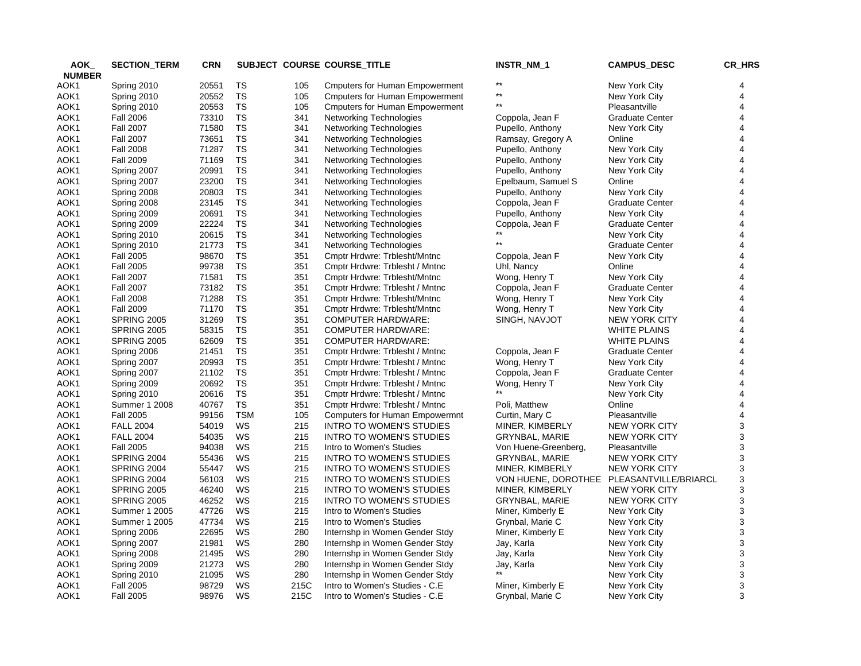| AOK           | <b>SECTION_TERM</b> | <b>CRN</b>     |            |            | SUBJECT COURSE COURSE_TITLE           | INSTR_NM_1            | <b>CAMPUS_DESC</b>     | CR_HRS                  |
|---------------|---------------------|----------------|------------|------------|---------------------------------------|-----------------------|------------------------|-------------------------|
| <b>NUMBER</b> |                     |                |            |            |                                       |                       |                        |                         |
| AOK1          | Spring 2010         | 20551          | TS         | 105        | <b>Cmputers for Human Empowerment</b> | $***$                 | New York City          | 4                       |
| AOK1          | Spring 2010         | 20552          | <b>TS</b>  | 105        | <b>Cmputers for Human Empowerment</b> | $***$                 | New York City          | $\overline{\mathbf{4}}$ |
| AOK1          | Spring 2010         | 20553          | <b>TS</b>  | 105        | <b>Cmputers for Human Empowerment</b> | $***$                 | Pleasantville          | $\overline{4}$          |
| AOK1          | <b>Fall 2006</b>    | 73310          | <b>TS</b>  | 341        | Networking Technologies               | Coppola, Jean F       | <b>Graduate Center</b> | 4                       |
| AOK1          | <b>Fall 2007</b>    | 71580          | <b>TS</b>  | 341        | Networking Technologies               | Pupello, Anthony      | New York City          | 4                       |
| AOK1          | <b>Fall 2007</b>    | 73651          | <b>TS</b>  | 341        | Networking Technologies               | Ramsay, Gregory A     | Online                 | 4                       |
| AOK1          | <b>Fall 2008</b>    | 71287          | <b>TS</b>  | 341        | Networking Technologies               | Pupello, Anthony      | New York City          | 4                       |
| AOK1          | <b>Fall 2009</b>    | 71169          | TS         | 341        | Networking Technologies               | Pupello, Anthony      | New York City          | $\overline{4}$          |
| AOK1          | Spring 2007         | 20991          | TS         | 341        | Networking Technologies               | Pupello, Anthony      | New York City          | 4                       |
| AOK1          | Spring 2007         | 23200          | TS         | 341        | Networking Technologies               | Epelbaum, Samuel S    | Online                 | 4                       |
| AOK1          | Spring 2008         | 20803          | <b>TS</b>  | 341        | Networking Technologies               | Pupello, Anthony      | New York City          | 4                       |
| AOK1          | Spring 2008         | 23145          | <b>TS</b>  | 341        | <b>Networking Technologies</b>        | Coppola, Jean F       | <b>Graduate Center</b> | 4                       |
| AOK1          | Spring 2009         | 20691          | <b>TS</b>  | 341        | Networking Technologies               | Pupello, Anthony      | New York City          | 4                       |
| AOK1          | Spring 2009         | 22224          | TS         | 341        | Networking Technologies               | Coppola, Jean F       | <b>Graduate Center</b> | 4                       |
| AOK1          | Spring 2010         | 20615          | TS         | 341        | Networking Technologies               |                       | New York City          | 4                       |
| AOK1          | Spring 2010         | 21773          | <b>TS</b>  | 341        | Networking Technologies               | $^{\star\star}$       | <b>Graduate Center</b> | 4                       |
| AOK1          | <b>Fall 2005</b>    | 98670          | TS         | 351        | Cmptr Hrdwre: Trblesht/Mntnc          | Coppola, Jean F       | New York City          | 4                       |
| AOK1          | <b>Fall 2005</b>    | 99738          | <b>TS</b>  | 351        | Cmptr Hrdwre: Trblesht / Mntnc        | Uhl, Nancy            | Online                 | $\overline{4}$          |
| AOK1          | <b>Fall 2007</b>    | 71581          | TS         | 351        | Cmptr Hrdwre: Trblesht/Mntnc          | Wong, Henry T         | New York City          | $\overline{4}$          |
| AOK1          | <b>Fall 2007</b>    | 73182          | <b>TS</b>  | 351        | Cmptr Hrdwre: Trblesht / Mntnc        | Coppola, Jean F       | <b>Graduate Center</b> | 4                       |
| AOK1          | <b>Fall 2008</b>    | 71288          | <b>TS</b>  | 351        | Cmptr Hrdwre: Trblesht/Mntnc          | Wong, Henry T         | New York City          | 4                       |
| AOK1          | <b>Fall 2009</b>    | 71170          | <b>TS</b>  | 351        | Cmptr Hrdwre: Trblesht/Mntnc          | Wong, Henry T         | New York City          | $\overline{\mathbf{4}}$ |
| AOK1          | <b>SPRING 2005</b>  | 31269          | <b>TS</b>  | 351        | <b>COMPUTER HARDWARE:</b>             | SINGH, NAVJOT         | <b>NEW YORK CITY</b>   | 4                       |
| AOK1          | <b>SPRING 2005</b>  | 58315          | TS         | 351        | <b>COMPUTER HARDWARE:</b>             |                       | <b>WHITE PLAINS</b>    | 4                       |
| AOK1          | <b>SPRING 2005</b>  | 62609          | <b>TS</b>  | 351        | <b>COMPUTER HARDWARE:</b>             |                       | <b>WHITE PLAINS</b>    | 4                       |
| AOK1          | Spring 2006         | 21451          | <b>TS</b>  | 351        | Cmptr Hrdwre: Trblesht / Mntnc        | Coppola, Jean F       | <b>Graduate Center</b> | 4                       |
| AOK1          | Spring 2007         | 20993          | <b>TS</b>  | 351        | Cmptr Hrdwre: Trblesht / Mntnc        | Wong, Henry T         | New York City          | $\overline{4}$          |
| AOK1          | Spring 2007         | 21102          | <b>TS</b>  | 351        | Cmptr Hrdwre: Trblesht / Mntnc        | Coppola, Jean F       | <b>Graduate Center</b> | 4                       |
| AOK1          | Spring 2009         | 20692          | <b>TS</b>  | 351        | Cmptr Hrdwre: Trblesht / Mntnc        | Wong, Henry T         | New York City          | 4                       |
| AOK1          | Spring 2010         | 20616          | <b>TS</b>  | 351        | Cmptr Hrdwre: Trblesht / Mntnc        |                       | New York City          | 4                       |
| AOK1          | Summer 1 2008       | 40767          | TS         | 351        | Cmptr Hrdwre: Trblesht / Mntnc        | Poli, Matthew         | Online                 | $\overline{4}$          |
| AOK1          | <b>Fall 2005</b>    | 99156          | <b>TSM</b> | 105        | Computers for Human Empowermnt        | Curtin, Mary C        | Pleasantville          | 4                       |
| AOK1          | <b>FALL 2004</b>    | 54019          | WS         | 215        | <b>INTRO TO WOMEN'S STUDIES</b>       | MINER, KIMBERLY       | <b>NEW YORK CITY</b>   | 3                       |
| AOK1          | <b>FALL 2004</b>    | 54035          | WS         | 215        | <b>INTRO TO WOMEN'S STUDIES</b>       | <b>GRYNBAL, MARIE</b> | <b>NEW YORK CITY</b>   | 3                       |
| AOK1          | <b>Fall 2005</b>    | 94038          | WS         | 215        | Intro to Women's Studies              | Von Huene-Greenberg,  | Pleasantville          | 3                       |
| AOK1          | SPRING 2004         | 55436          | WS         | 215        | INTRO TO WOMEN'S STUDIES              | GRYNBAL, MARIE        | NEW YORK CITY          | 3                       |
| AOK1          | SPRING 2004         | 55447          | WS         | 215        | <b>INTRO TO WOMEN'S STUDIES</b>       | MINER, KIMBERLY       | <b>NEW YORK CITY</b>   | 3                       |
| AOK1          | SPRING 2004         | 56103          | WS         | 215        | <b>INTRO TO WOMEN'S STUDIES</b>       | VON HUENE, DOROTHEE   | PLEASANTVILLE/BRIARCL  | 3                       |
| AOK1          | <b>SPRING 2005</b>  | 46240          | WS         | 215        | <b>INTRO TO WOMEN'S STUDIES</b>       | MINER, KIMBERLY       | <b>NEW YORK CITY</b>   | 3                       |
| AOK1          | <b>SPRING 2005</b>  | 46252          | WS         | 215        | <b>INTRO TO WOMEN'S STUDIES</b>       | <b>GRYNBAL, MARIE</b> | <b>NEW YORK CITY</b>   | 3                       |
| AOK1          | Summer 1 2005       | 47726          | WS         | 215        | Intro to Women's Studies              | Miner, Kimberly E     | New York City          | 3                       |
| AOK1          | Summer 1 2005       | 47734          | WS         | 215        | Intro to Women's Studies              | Grynbal, Marie C      | New York City          | 3                       |
|               |                     |                | WS         |            |                                       |                       |                        | 3                       |
| AOK1          | Spring 2006         | 22695<br>21981 | WS         | 280<br>280 | Internshp in Women Gender Stdy        | Miner, Kimberly E     | New York City          | 3                       |
| AOK1          | Spring 2007         |                |            |            | Internshp in Women Gender Stdy        | Jay, Karla            | New York City          |                         |
| AOK1          | Spring 2008         | 21495          | WS         | 280        | Internshp in Women Gender Stdy        | Jay, Karla            | New York City          | 3                       |
| AOK1          | Spring 2009         | 21273          | WS         | 280        | Internshp in Women Gender Stdy        | Jay, Karla            | New York City          | 3                       |
| AOK1          | Spring 2010         | 21095          | WS         | 280        | Internshp in Women Gender Stdy        |                       | New York City          | 3                       |
| AOK1          | <b>Fall 2005</b>    | 98729          | WS         | 215C       | Intro to Women's Studies - C.E        | Miner, Kimberly E     | New York City          | 3                       |
| AOK1          | <b>Fall 2005</b>    | 98976          | WS         | 215C       | Intro to Women's Studies - C.E        | Grynbal, Marie C      | New York City          | 3                       |
|               |                     |                |            |            |                                       |                       |                        |                         |